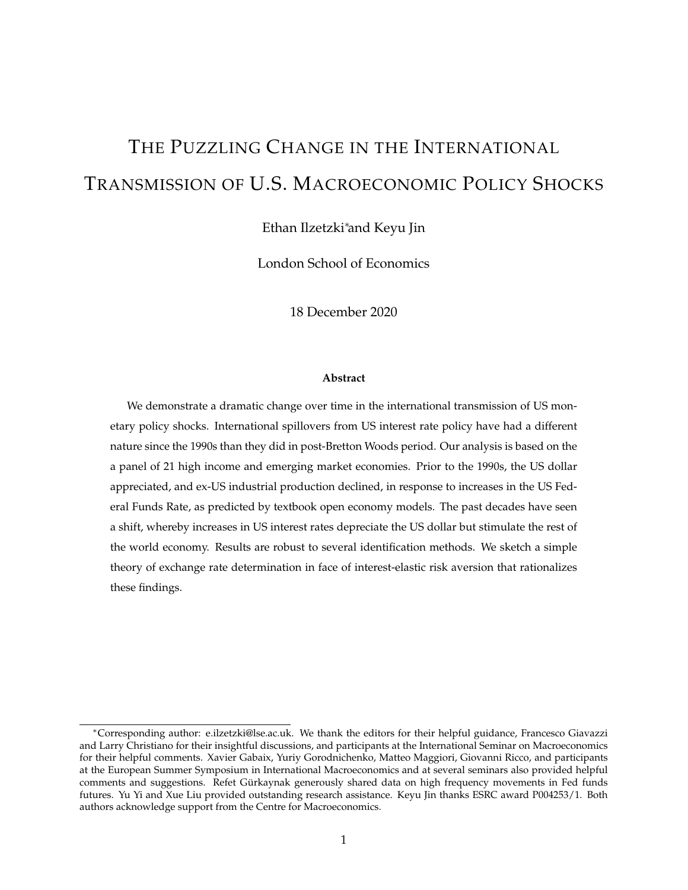# THE PUZZLING CHANGE IN THE INTERNATIONAL TRANSMISSION OF U.S. MACROECONOMIC POLICY SHOCKS

Ethan Ilzetzki∗and Keyu Jin

London School of Economics

18 December 2020

#### **Abstract**

We demonstrate a dramatic change over time in the international transmission of US monetary policy shocks. International spillovers from US interest rate policy have had a different nature since the 1990s than they did in post-Bretton Woods period. Our analysis is based on the a panel of 21 high income and emerging market economies. Prior to the 1990s, the US dollar appreciated, and ex-US industrial production declined, in response to increases in the US Federal Funds Rate, as predicted by textbook open economy models. The past decades have seen a shift, whereby increases in US interest rates depreciate the US dollar but stimulate the rest of the world economy. Results are robust to several identification methods. We sketch a simple theory of exchange rate determination in face of interest-elastic risk aversion that rationalizes these findings.

<sup>∗</sup>Corresponding author: e.ilzetzki@lse.ac.uk. We thank the editors for their helpful guidance, Francesco Giavazzi and Larry Christiano for their insightful discussions, and participants at the International Seminar on Macroeconomics for their helpful comments. Xavier Gabaix, Yuriy Gorodnichenko, Matteo Maggiori, Giovanni Ricco, and participants at the European Summer Symposium in International Macroeconomics and at several seminars also provided helpful comments and suggestions. Refet Gürkaynak generously shared data on high frequency movements in Fed funds futures. Yu Yi and Xue Liu provided outstanding research assistance. Keyu Jin thanks ESRC award P004253/1. Both authors acknowledge support from the Centre for Macroeconomics.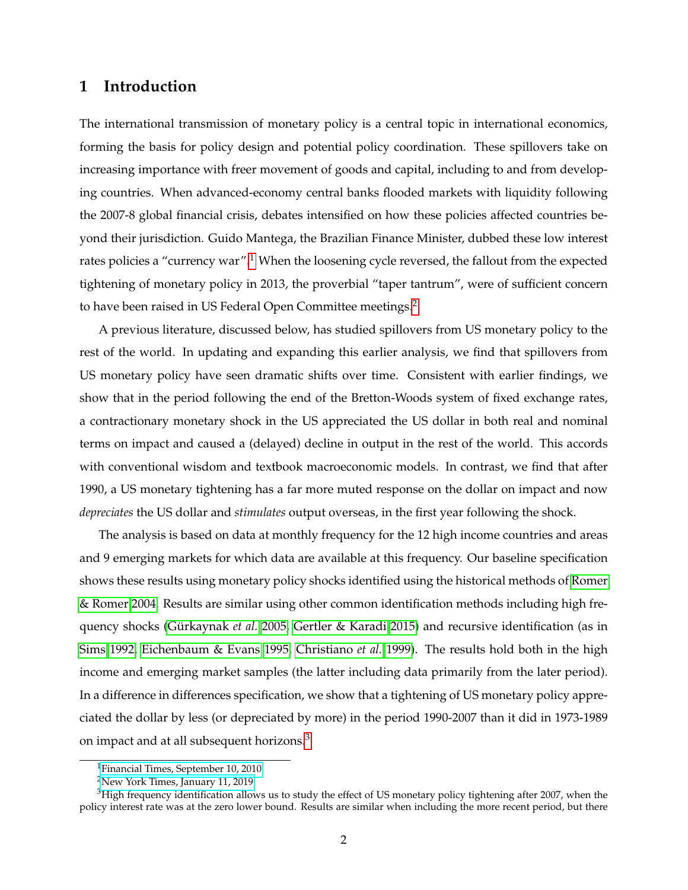### **1 Introduction**

The international transmission of monetary policy is a central topic in international economics, forming the basis for policy design and potential policy coordination. These spillovers take on increasing importance with freer movement of goods and capital, including to and from developing countries. When advanced-economy central banks flooded markets with liquidity following the 2007-8 global financial crisis, debates intensified on how these policies affected countries beyond their jurisdiction. Guido Mantega, the Brazilian Finance Minister, dubbed these low interest rates policies a "currency war".<sup>[1](#page-1-0)</sup> When the loosening cycle reversed, the fallout from the expected tightening of monetary policy in 2013, the proverbial "taper tantrum", were of sufficient concern to have been raised in US Federal Open Committee meetings.<sup>[2](#page-1-1)</sup>

A previous literature, discussed below, has studied spillovers from US monetary policy to the rest of the world. In updating and expanding this earlier analysis, we find that spillovers from US monetary policy have seen dramatic shifts over time. Consistent with earlier findings, we show that in the period following the end of the Bretton-Woods system of fixed exchange rates, a contractionary monetary shock in the US appreciated the US dollar in both real and nominal terms on impact and caused a (delayed) decline in output in the rest of the world. This accords with conventional wisdom and textbook macroeconomic models. In contrast, we find that after 1990, a US monetary tightening has a far more muted response on the dollar on impact and now *depreciates* the US dollar and *stimulates* output overseas, in the first year following the shock.

The analysis is based on data at monthly frequency for the 12 high income countries and areas and 9 emerging markets for which data are available at this frequency. Our baseline specification shows these results using monetary policy shocks identified using the historical methods of [Romer](#page-27-0) [& Romer 2004.](#page-27-0) Results are similar using other common identification methods including high frequency shocks [\(Gürkaynak](#page-25-0) *et al.* [2005,](#page-25-0) [Gertler & Karadi 2015\)](#page-25-1) and recursive identification (as in [Sims 1992,](#page-27-1) [Eichenbaum & Evans 1995,](#page-25-2) [Christiano](#page-25-3) *et al.* [1999\)](#page-25-3). The results hold both in the high income and emerging market samples (the latter including data primarily from the later period). In a difference in differences specification, we show that a tightening of US monetary policy appreciated the dollar by less (or depreciated by more) in the period 1990-2007 than it did in 1973-1989 on impact and at all subsequent horizons.<sup>[3](#page-1-2)</sup>

<span id="page-1-0"></span><sup>&</sup>lt;sup>1</sup>[Financial Times, September 10, 2010](https://www.ft.com/content/33ff9624-ca48-11df-a860-00144feab49a)

<span id="page-1-2"></span><span id="page-1-1"></span><sup>2</sup>[New York Times, January 11, 2019](https://www.nytimes.com/2019/01/11/us/politics/federal-reserve-jerome-powell.html)

<sup>&</sup>lt;sup>3</sup>High frequency identification allows us to study the effect of US monetary policy tightening after 2007, when the policy interest rate was at the zero lower bound. Results are similar when including the more recent period, but there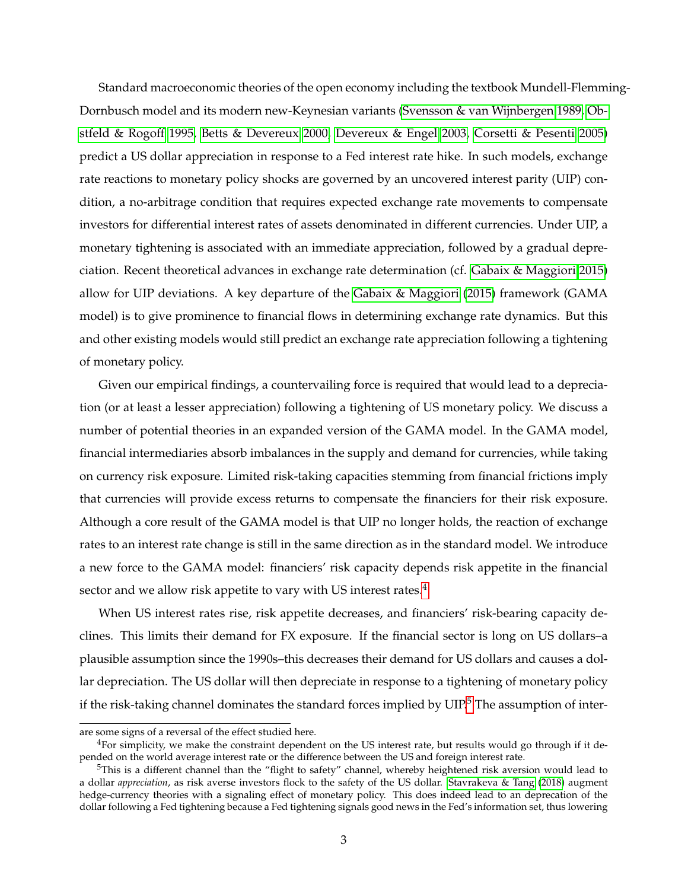Standard macroeconomic theories of the open economy including the textbook Mundell-Flemming-Dornbusch model and its modern new-Keynesian variants [\(Svensson & van Wijnbergen 1989,](#page-27-2) [Ob](#page-26-0)[stfeld & Rogoff 1995,](#page-26-0) [Betts & Devereux 2000,](#page-24-0) [Devereux & Engel 2003,](#page-25-4) [Corsetti & Pesenti 2005\)](#page-25-5) predict a US dollar appreciation in response to a Fed interest rate hike. In such models, exchange rate reactions to monetary policy shocks are governed by an uncovered interest parity (UIP) condition, a no-arbitrage condition that requires expected exchange rate movements to compensate investors for differential interest rates of assets denominated in different currencies. Under UIP, a monetary tightening is associated with an immediate appreciation, followed by a gradual depreciation. Recent theoretical advances in exchange rate determination (cf. [Gabaix & Maggiori 2015\)](#page-25-6) allow for UIP deviations. A key departure of the [Gabaix & Maggiori](#page-25-6) [\(2015\)](#page-25-6) framework (GAMA model) is to give prominence to financial flows in determining exchange rate dynamics. But this and other existing models would still predict an exchange rate appreciation following a tightening of monetary policy.

Given our empirical findings, a countervailing force is required that would lead to a depreciation (or at least a lesser appreciation) following a tightening of US monetary policy. We discuss a number of potential theories in an expanded version of the GAMA model. In the GAMA model, financial intermediaries absorb imbalances in the supply and demand for currencies, while taking on currency risk exposure. Limited risk-taking capacities stemming from financial frictions imply that currencies will provide excess returns to compensate the financiers for their risk exposure. Although a core result of the GAMA model is that UIP no longer holds, the reaction of exchange rates to an interest rate change is still in the same direction as in the standard model. We introduce a new force to the GAMA model: financiers' risk capacity depends risk appetite in the financial sector and we allow risk appetite to vary with US interest rates.<sup>[4](#page-2-0)</sup>

When US interest rates rise, risk appetite decreases, and financiers' risk-bearing capacity declines. This limits their demand for FX exposure. If the financial sector is long on US dollars–a plausible assumption since the 1990s–this decreases their demand for US dollars and causes a dollar depreciation. The US dollar will then depreciate in response to a tightening of monetary policy if the risk-taking channel dominates the standard forces implied by  $UIP<sup>5</sup>$  $UIP<sup>5</sup>$  $UIP<sup>5</sup>$ . The assumption of inter-

are some signs of a reversal of the effect studied here.

<span id="page-2-0"></span><sup>&</sup>lt;sup>4</sup>For simplicity, we make the constraint dependent on the US interest rate, but results would go through if it depended on the world average interest rate or the difference between the US and foreign interest rate.

<span id="page-2-1"></span> $5$ This is a different channel than the "flight to safety" channel, whereby heightened risk aversion would lead to a dollar *appreciation*, as risk averse investors flock to the safety of the US dollar. [Stavrakeva & Tang](#page-27-3) [\(2018\)](#page-27-3) augment hedge-currency theories with a signaling effect of monetary policy. This does indeed lead to an deprecation of the dollar following a Fed tightening because a Fed tightening signals good news in the Fed's information set, thus lowering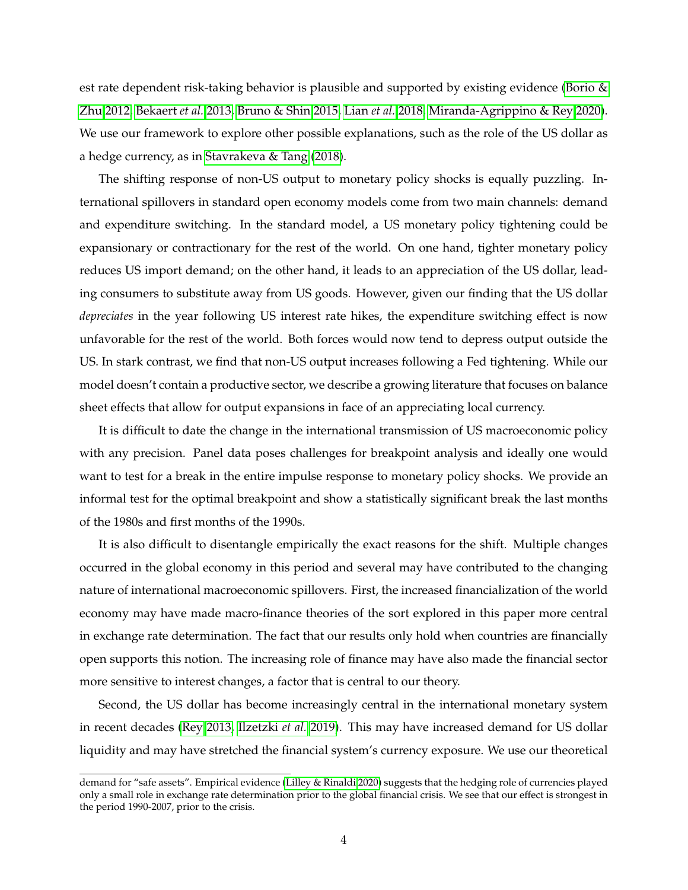est rate dependent risk-taking behavior is plausible and supported by existing evidence [\(Borio &](#page-24-1) [Zhu 2012,](#page-24-1) [Bekaert](#page-24-2) *et al.* [2013,](#page-24-2) [Bruno & Shin 2015,](#page-24-3) [Lian](#page-26-1) *et al.* [2018,](#page-26-1) [Miranda-Agrippino & Rey 2020\)](#page-26-2). We use our framework to explore other possible explanations, such as the role of the US dollar as a hedge currency, as in [Stavrakeva & Tang](#page-27-3) [\(2018\)](#page-27-3).

The shifting response of non-US output to monetary policy shocks is equally puzzling. International spillovers in standard open economy models come from two main channels: demand and expenditure switching. In the standard model, a US monetary policy tightening could be expansionary or contractionary for the rest of the world. On one hand, tighter monetary policy reduces US import demand; on the other hand, it leads to an appreciation of the US dollar, leading consumers to substitute away from US goods. However, given our finding that the US dollar *depreciates* in the year following US interest rate hikes, the expenditure switching effect is now unfavorable for the rest of the world. Both forces would now tend to depress output outside the US. In stark contrast, we find that non-US output increases following a Fed tightening. While our model doesn't contain a productive sector, we describe a growing literature that focuses on balance sheet effects that allow for output expansions in face of an appreciating local currency.

It is difficult to date the change in the international transmission of US macroeconomic policy with any precision. Panel data poses challenges for breakpoint analysis and ideally one would want to test for a break in the entire impulse response to monetary policy shocks. We provide an informal test for the optimal breakpoint and show a statistically significant break the last months of the 1980s and first months of the 1990s.

It is also difficult to disentangle empirically the exact reasons for the shift. Multiple changes occurred in the global economy in this period and several may have contributed to the changing nature of international macroeconomic spillovers. First, the increased financialization of the world economy may have made macro-finance theories of the sort explored in this paper more central in exchange rate determination. The fact that our results only hold when countries are financially open supports this notion. The increasing role of finance may have also made the financial sector more sensitive to interest changes, a factor that is central to our theory.

Second, the US dollar has become increasingly central in the international monetary system in recent decades [\(Rey 2013,](#page-27-4) [Ilzetzki](#page-26-3) *et al.* [2019\)](#page-26-3). This may have increased demand for US dollar liquidity and may have stretched the financial system's currency exposure. We use our theoretical

demand for "safe assets". Empirical evidence [\(Lilley & Rinaldi 2020\)](#page-26-4) suggests that the hedging role of currencies played only a small role in exchange rate determination prior to the global financial crisis. We see that our effect is strongest in the period 1990-2007, prior to the crisis.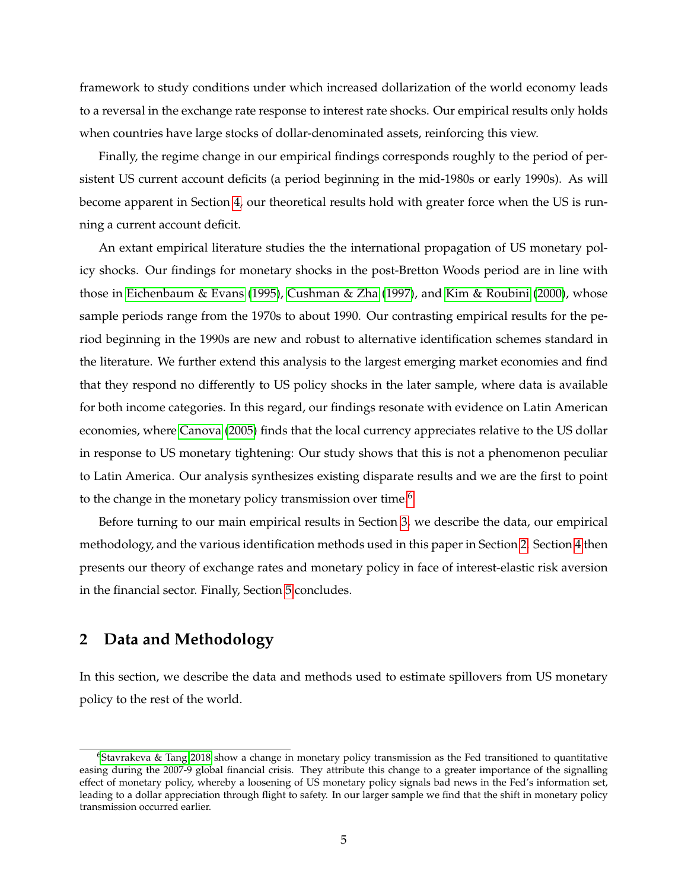framework to study conditions under which increased dollarization of the world economy leads to a reversal in the exchange rate response to interest rate shocks. Our empirical results only holds when countries have large stocks of dollar-denominated assets, reinforcing this view.

Finally, the regime change in our empirical findings corresponds roughly to the period of persistent US current account deficits (a period beginning in the mid-1980s or early 1990s). As will become apparent in Section [4,](#page-13-0) our theoretical results hold with greater force when the US is running a current account deficit.

An extant empirical literature studies the the international propagation of US monetary policy shocks. Our findings for monetary shocks in the post-Bretton Woods period are in line with those in [Eichenbaum & Evans](#page-25-2) [\(1995\)](#page-25-2), [Cushman & Zha](#page-25-7) [\(1997\)](#page-25-7), and [Kim & Roubini](#page-26-5) [\(2000\)](#page-26-5), whose sample periods range from the 1970s to about 1990. Our contrasting empirical results for the period beginning in the 1990s are new and robust to alternative identification schemes standard in the literature. We further extend this analysis to the largest emerging market economies and find that they respond no differently to US policy shocks in the later sample, where data is available for both income categories. In this regard, our findings resonate with evidence on Latin American economies, where [Canova](#page-24-4) [\(2005\)](#page-24-4) finds that the local currency appreciates relative to the US dollar in response to US monetary tightening: Our study shows that this is not a phenomenon peculiar to Latin America. Our analysis synthesizes existing disparate results and we are the first to point to the change in the monetary policy transmission over time.<sup>[6](#page-4-0)</sup>

Before turning to our main empirical results in Section [3,](#page-7-0) we describe the data, our empirical methodology, and the various identification methods used in this paper in Section [2.](#page-4-1) Section [4](#page-13-0) then presents our theory of exchange rates and monetary policy in face of interest-elastic risk aversion in the financial sector. Finally, Section [5](#page-23-0) concludes.

## <span id="page-4-1"></span>**2 Data and Methodology**

In this section, we describe the data and methods used to estimate spillovers from US monetary policy to the rest of the world.

<span id="page-4-0"></span> $6$ [Stavrakeva & Tang 2018](#page-27-3) show a change in monetary policy transmission as the Fed transitioned to quantitative easing during the 2007-9 global financial crisis. They attribute this change to a greater importance of the signalling effect of monetary policy, whereby a loosening of US monetary policy signals bad news in the Fed's information set, leading to a dollar appreciation through flight to safety. In our larger sample we find that the shift in monetary policy transmission occurred earlier.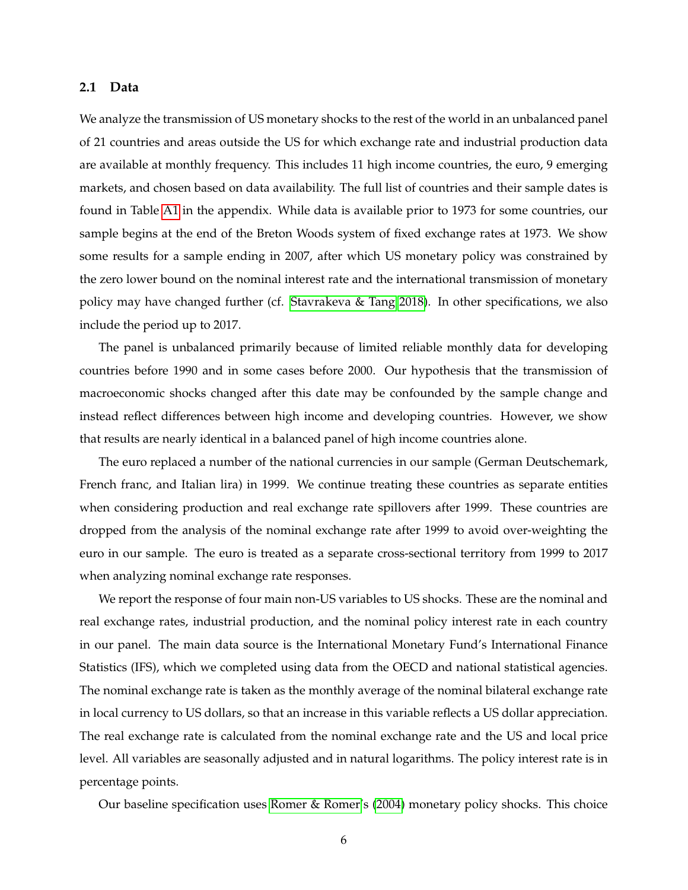#### **2.1 Data**

We analyze the transmission of US monetary shocks to the rest of the world in an unbalanced panel of 21 countries and areas outside the US for which exchange rate and industrial production data are available at monthly frequency. This includes 11 high income countries, the euro, 9 emerging markets, and chosen based on data availability. The full list of countries and their sample dates is found in Table [A1](#page-49-0) in the appendix. While data is available prior to 1973 for some countries, our sample begins at the end of the Breton Woods system of fixed exchange rates at 1973. We show some results for a sample ending in 2007, after which US monetary policy was constrained by the zero lower bound on the nominal interest rate and the international transmission of monetary policy may have changed further (cf. [Stavrakeva & Tang 2018\)](#page-27-3). In other specifications, we also include the period up to 2017.

The panel is unbalanced primarily because of limited reliable monthly data for developing countries before 1990 and in some cases before 2000. Our hypothesis that the transmission of macroeconomic shocks changed after this date may be confounded by the sample change and instead reflect differences between high income and developing countries. However, we show that results are nearly identical in a balanced panel of high income countries alone.

The euro replaced a number of the national currencies in our sample (German Deutschemark, French franc, and Italian lira) in 1999. We continue treating these countries as separate entities when considering production and real exchange rate spillovers after 1999. These countries are dropped from the analysis of the nominal exchange rate after 1999 to avoid over-weighting the euro in our sample. The euro is treated as a separate cross-sectional territory from 1999 to 2017 when analyzing nominal exchange rate responses.

We report the response of four main non-US variables to US shocks. These are the nominal and real exchange rates, industrial production, and the nominal policy interest rate in each country in our panel. The main data source is the International Monetary Fund's International Finance Statistics (IFS), which we completed using data from the OECD and national statistical agencies. The nominal exchange rate is taken as the monthly average of the nominal bilateral exchange rate in local currency to US dollars, so that an increase in this variable reflects a US dollar appreciation. The real exchange rate is calculated from the nominal exchange rate and the US and local price level. All variables are seasonally adjusted and in natural logarithms. The policy interest rate is in percentage points.

Our baseline specification uses [Romer & Romer'](#page-27-0)s [\(2004\)](#page-27-0) monetary policy shocks. This choice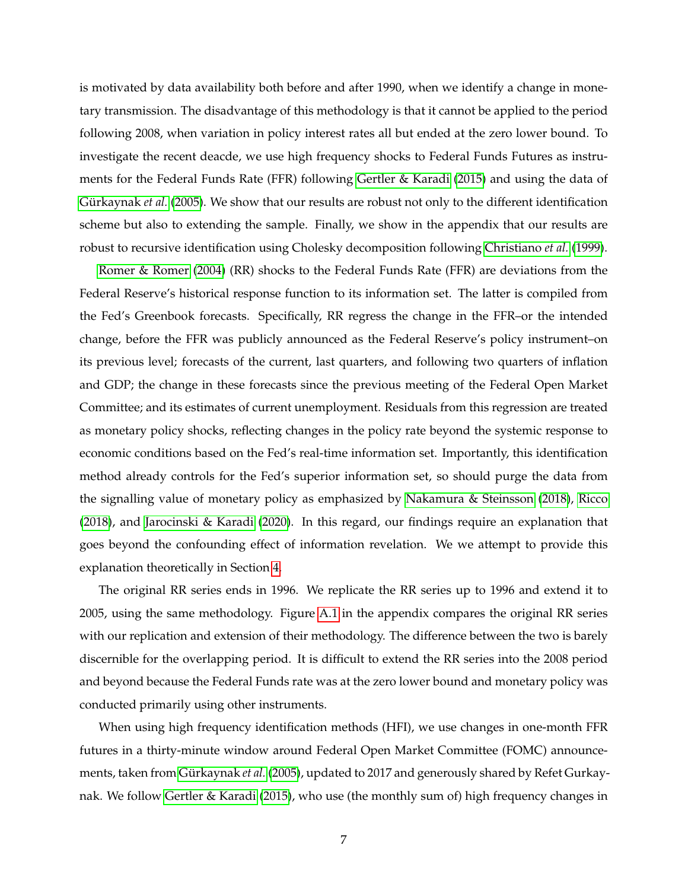is motivated by data availability both before and after 1990, when we identify a change in monetary transmission. The disadvantage of this methodology is that it cannot be applied to the period following 2008, when variation in policy interest rates all but ended at the zero lower bound. To investigate the recent deacde, we use high frequency shocks to Federal Funds Futures as instruments for the Federal Funds Rate (FFR) following [Gertler & Karadi](#page-25-1) [\(2015\)](#page-25-1) and using the data of [Gürkaynak](#page-25-0) *et al.* [\(2005\)](#page-25-0). We show that our results are robust not only to the different identification scheme but also to extending the sample. Finally, we show in the appendix that our results are robust to recursive identification using Cholesky decomposition following [Christiano](#page-25-3) *et al.* [\(1999\)](#page-25-3).

[Romer & Romer](#page-27-0) [\(2004\)](#page-27-0) (RR) shocks to the Federal Funds Rate (FFR) are deviations from the Federal Reserve's historical response function to its information set. The latter is compiled from the Fed's Greenbook forecasts. Specifically, RR regress the change in the FFR–or the intended change, before the FFR was publicly announced as the Federal Reserve's policy instrument–on its previous level; forecasts of the current, last quarters, and following two quarters of inflation and GDP; the change in these forecasts since the previous meeting of the Federal Open Market Committee; and its estimates of current unemployment. Residuals from this regression are treated as monetary policy shocks, reflecting changes in the policy rate beyond the systemic response to economic conditions based on the Fed's real-time information set. Importantly, this identification method already controls for the Fed's superior information set, so should purge the data from the signalling value of monetary policy as emphasized by [Nakamura & Steinsson](#page-26-6) [\(2018\)](#page-26-6), [Ricco](#page-27-5) [\(2018\)](#page-27-5), and [Jarocinski & Karadi](#page-26-7) [\(2020\)](#page-26-7). In this regard, our findings require an explanation that goes beyond the confounding effect of information revelation. We we attempt to provide this explanation theoretically in Section [4.](#page-13-0)

The original RR series ends in 1996. We replicate the RR series up to 1996 and extend it to 2005, using the same methodology. Figure [A.1](#page-38-0) in the appendix compares the original RR series with our replication and extension of their methodology. The difference between the two is barely discernible for the overlapping period. It is difficult to extend the RR series into the 2008 period and beyond because the Federal Funds rate was at the zero lower bound and monetary policy was conducted primarily using other instruments.

When using high frequency identification methods (HFI), we use changes in one-month FFR futures in a thirty-minute window around Federal Open Market Committee (FOMC) announcements, taken from [Gürkaynak](#page-25-0) *et al.* [\(2005\)](#page-25-0), updated to 2017 and generously shared by Refet Gurkaynak. We follow [Gertler & Karadi](#page-25-1) [\(2015\)](#page-25-1), who use (the monthly sum of) high frequency changes in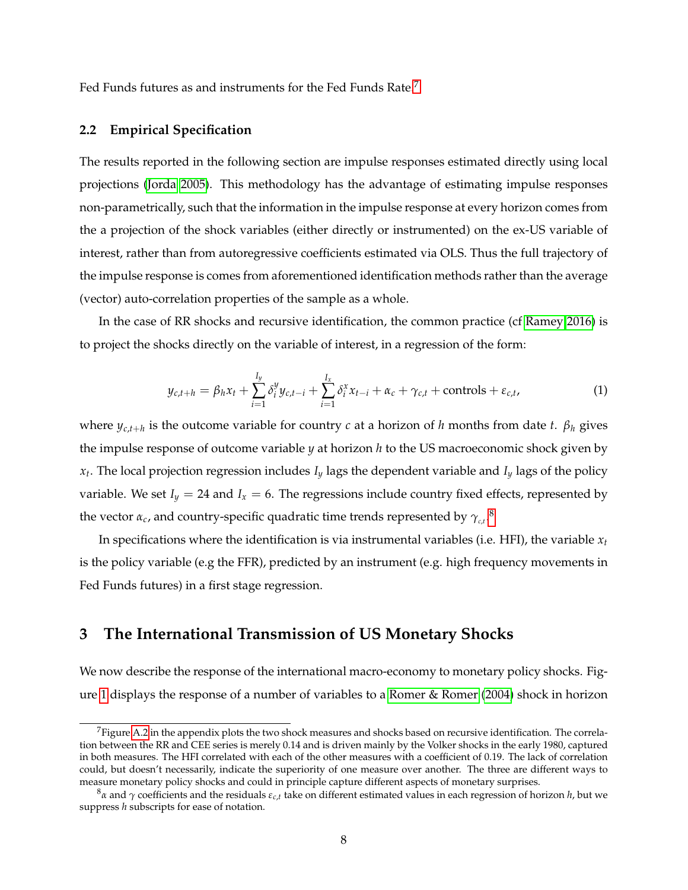Fed Funds futures as and instruments for the Fed Funds Rate.<sup>[7](#page-7-1)</sup>

#### **2.2 Empirical Specification**

The results reported in the following section are impulse responses estimated directly using local projections [\(Jorda 2005\)](#page-26-8). This methodology has the advantage of estimating impulse responses non-parametrically, such that the information in the impulse response at every horizon comes from the a projection of the shock variables (either directly or instrumented) on the ex-US variable of interest, rather than from autoregressive coefficients estimated via OLS. Thus the full trajectory of the impulse response is comes from aforementioned identification methods rather than the average (vector) auto-correlation properties of the sample as a whole.

In the case of RR shocks and recursive identification, the common practice (cf [Ramey 2016\)](#page-27-6) is to project the shocks directly on the variable of interest, in a regression of the form:

<span id="page-7-3"></span>
$$
y_{c,t+h} = \beta_h x_t + \sum_{i=1}^{I_y} \delta_i^y y_{c,t-i} + \sum_{i=1}^{I_x} \delta_i^x x_{t-i} + \alpha_c + \gamma_{c,t} + \text{controls} + \varepsilon_{c,t},
$$
\n(1)

where  $y_{c,t+h}$  is the outcome variable for country *c* at a horizon of *h* months from date *t*.  $\beta_h$  gives the impulse response of outcome variable *y* at horizon *h* to the US macroeconomic shock given by *xt* . The local projection regression includes *I<sup>y</sup>* lags the dependent variable and *I<sup>y</sup>* lags of the policy variable. We set  $I_y = 24$  and  $I_x = 6$ . The regressions include country fixed effects, represented by the vector  $\alpha_c$ , and country-specific quadratic time trends represented by  $\gamma_{c,t}$ .<sup>[8](#page-7-2)</sup>

In specifications where the identification is via instrumental variables (i.e. HFI), the variable  $x_t$ is the policy variable (e.g the FFR), predicted by an instrument (e.g. high frequency movements in Fed Funds futures) in a first stage regression.

## <span id="page-7-0"></span>**3 The International Transmission of US Monetary Shocks**

We now describe the response of the international macro-economy to monetary policy shocks. Figure [1](#page-28-0) displays the response of a number of variables to a [Romer & Romer](#page-27-0) [\(2004\)](#page-27-0) shock in horizon

<span id="page-7-1"></span> $7$ Figure [A.2](#page-39-0) in the appendix plots the two shock measures and shocks based on recursive identification. The correlation between the RR and CEE series is merely 0.14 and is driven mainly by the Volker shocks in the early 1980, captured in both measures. The HFI correlated with each of the other measures with a coefficient of 0.19. The lack of correlation could, but doesn't necessarily, indicate the superiority of one measure over another. The three are different ways to measure monetary policy shocks and could in principle capture different aspects of monetary surprises.

<span id="page-7-2"></span><sup>8</sup>*α* and *γ* coefficients and the residuals *εc*,*<sup>t</sup>* take on different estimated values in each regression of horizon *h*, but we suppress *h* subscripts for ease of notation.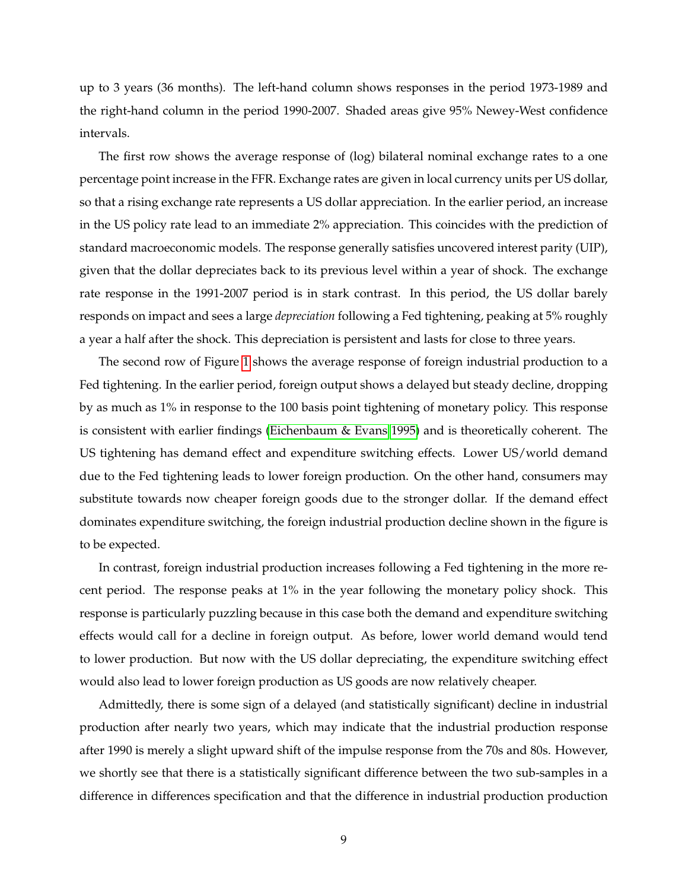up to 3 years (36 months). The left-hand column shows responses in the period 1973-1989 and the right-hand column in the period 1990-2007. Shaded areas give 95% Newey-West confidence intervals.

The first row shows the average response of (log) bilateral nominal exchange rates to a one percentage point increase in the FFR. Exchange rates are given in local currency units per US dollar, so that a rising exchange rate represents a US dollar appreciation. In the earlier period, an increase in the US policy rate lead to an immediate 2% appreciation. This coincides with the prediction of standard macroeconomic models. The response generally satisfies uncovered interest parity (UIP), given that the dollar depreciates back to its previous level within a year of shock. The exchange rate response in the 1991-2007 period is in stark contrast. In this period, the US dollar barely responds on impact and sees a large *depreciation* following a Fed tightening, peaking at 5% roughly a year a half after the shock. This depreciation is persistent and lasts for close to three years.

The second row of Figure [1](#page-28-0) shows the average response of foreign industrial production to a Fed tightening. In the earlier period, foreign output shows a delayed but steady decline, dropping by as much as 1% in response to the 100 basis point tightening of monetary policy. This response is consistent with earlier findings [\(Eichenbaum & Evans 1995\)](#page-25-2) and is theoretically coherent. The US tightening has demand effect and expenditure switching effects. Lower US/world demand due to the Fed tightening leads to lower foreign production. On the other hand, consumers may substitute towards now cheaper foreign goods due to the stronger dollar. If the demand effect dominates expenditure switching, the foreign industrial production decline shown in the figure is to be expected.

In contrast, foreign industrial production increases following a Fed tightening in the more recent period. The response peaks at 1% in the year following the monetary policy shock. This response is particularly puzzling because in this case both the demand and expenditure switching effects would call for a decline in foreign output. As before, lower world demand would tend to lower production. But now with the US dollar depreciating, the expenditure switching effect would also lead to lower foreign production as US goods are now relatively cheaper.

Admittedly, there is some sign of a delayed (and statistically significant) decline in industrial production after nearly two years, which may indicate that the industrial production response after 1990 is merely a slight upward shift of the impulse response from the 70s and 80s. However, we shortly see that there is a statistically significant difference between the two sub-samples in a difference in differences specification and that the difference in industrial production production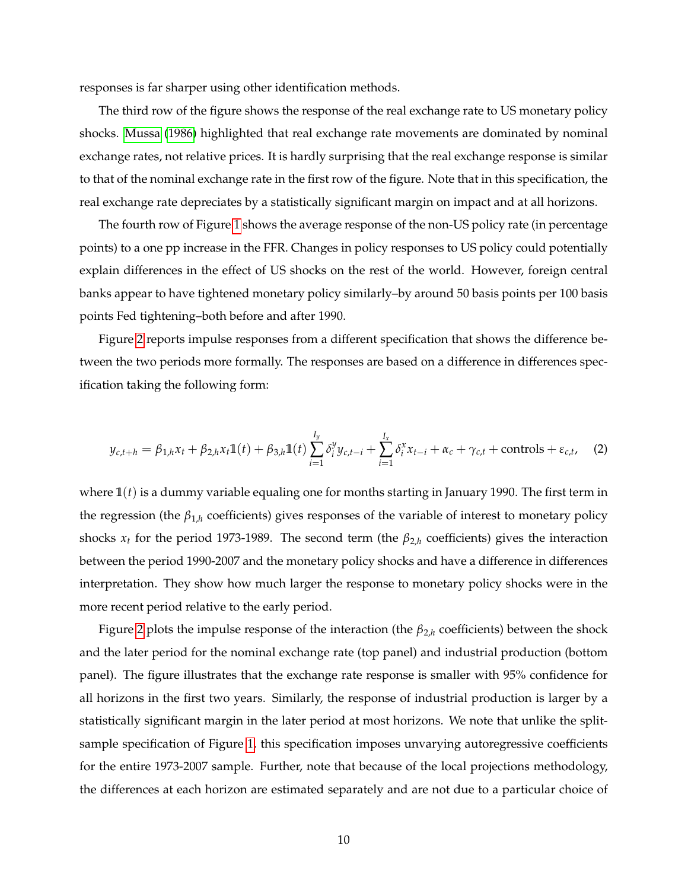responses is far sharper using other identification methods.

The third row of the figure shows the response of the real exchange rate to US monetary policy shocks. [Mussa](#page-26-9) [\(1986\)](#page-26-9) highlighted that real exchange rate movements are dominated by nominal exchange rates, not relative prices. It is hardly surprising that the real exchange response is similar to that of the nominal exchange rate in the first row of the figure. Note that in this specification, the real exchange rate depreciates by a statistically significant margin on impact and at all horizons.

The fourth row of Figure [1](#page-28-0) shows the average response of the non-US policy rate (in percentage points) to a one pp increase in the FFR. Changes in policy responses to US policy could potentially explain differences in the effect of US shocks on the rest of the world. However, foreign central banks appear to have tightened monetary policy similarly–by around 50 basis points per 100 basis points Fed tightening–both before and after 1990.

Figure [2](#page-29-0) reports impulse responses from a different specification that shows the difference between the two periods more formally. The responses are based on a difference in differences specification taking the following form:

<span id="page-9-0"></span>
$$
y_{c,t+h} = \beta_{1,h} x_t + \beta_{2,h} x_t \mathbb{1}(t) + \beta_{3,h} \mathbb{1}(t) \sum_{i=1}^{I_y} \delta_i^y y_{c,t-i} + \sum_{i=1}^{I_x} \delta_i^x x_{t-i} + \alpha_c + \gamma_{c,t} + \text{controls} + \varepsilon_{c,t}, \quad (2)
$$

where **1**(*t*) is a dummy variable equaling one for months starting in January 1990. The first term in the regression (the  $\beta_{1,h}$  coefficients) gives responses of the variable of interest to monetary policy shocks  $x_t$  for the period 1973-1989. The second term (the  $\beta_{2,h}$  coefficients) gives the interaction between the period 1990-2007 and the monetary policy shocks and have a difference in differences interpretation. They show how much larger the response to monetary policy shocks were in the more recent period relative to the early period.

Figure [2](#page-29-0) plots the impulse response of the interaction (the *β*2,*<sup>h</sup>* coefficients) between the shock and the later period for the nominal exchange rate (top panel) and industrial production (bottom panel). The figure illustrates that the exchange rate response is smaller with 95% confidence for all horizons in the first two years. Similarly, the response of industrial production is larger by a statistically significant margin in the later period at most horizons. We note that unlike the splitsample specification of Figure [1,](#page-28-0) this specification imposes unvarying autoregressive coefficients for the entire 1973-2007 sample. Further, note that because of the local projections methodology, the differences at each horizon are estimated separately and are not due to a particular choice of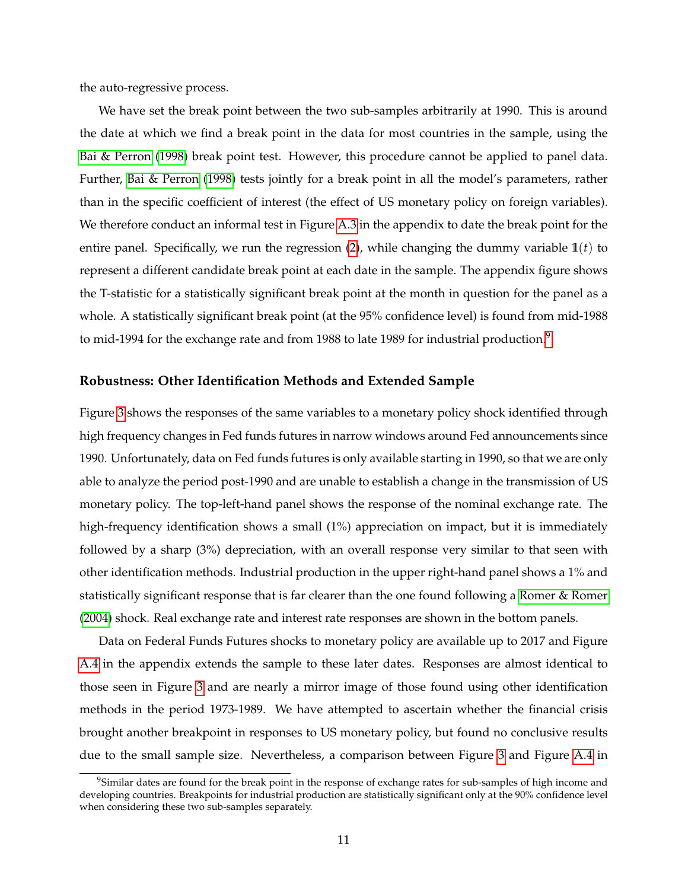the auto-regressive process.

We have set the break point between the two sub-samples arbitrarily at 1990. This is around the date at which we find a break point in the data for most countries in the sample, using the [Bai & Perron](#page-24-5) [\(1998\)](#page-24-5) break point test. However, this procedure cannot be applied to panel data. Further, [Bai & Perron](#page-24-5) [\(1998\)](#page-24-5) tests jointly for a break point in all the model's parameters, rather than in the specific coefficient of interest (the effect of US monetary policy on foreign variables). We therefore conduct an informal test in Figure [A.3](#page-40-0) in the appendix to date the break point for the entire panel. Specifically, we run the regression [\(2\)](#page-9-0), while changing the dummy variable  $\mathbb{1}(t)$  to represent a different candidate break point at each date in the sample. The appendix figure shows the T-statistic for a statistically significant break point at the month in question for the panel as a whole. A statistically significant break point (at the 95% confidence level) is found from mid-1988 to mid-1[9](#page-10-0)94 for the exchange rate and from 1988 to late 1989 for industrial production.<sup>9</sup>

#### **Robustness: Other Identification Methods and Extended Sample**

Figure [3](#page-30-0) shows the responses of the same variables to a monetary policy shock identified through high frequency changes in Fed funds futures in narrow windows around Fed announcements since 1990. Unfortunately, data on Fed funds futures is only available starting in 1990, so that we are only able to analyze the period post-1990 and are unable to establish a change in the transmission of US monetary policy. The top-left-hand panel shows the response of the nominal exchange rate. The high-frequency identification shows a small (1%) appreciation on impact, but it is immediately followed by a sharp (3%) depreciation, with an overall response very similar to that seen with other identification methods. Industrial production in the upper right-hand panel shows a 1% and statistically significant response that is far clearer than the one found following a [Romer & Romer](#page-27-0) [\(2004\)](#page-27-0) shock. Real exchange rate and interest rate responses are shown in the bottom panels.

Data on Federal Funds Futures shocks to monetary policy are available up to 2017 and Figure [A.4](#page-41-0) in the appendix extends the sample to these later dates. Responses are almost identical to those seen in Figure [3](#page-30-0) and are nearly a mirror image of those found using other identification methods in the period 1973-1989. We have attempted to ascertain whether the financial crisis brought another breakpoint in responses to US monetary policy, but found no conclusive results due to the small sample size. Nevertheless, a comparison between Figure [3](#page-30-0) and Figure [A.4](#page-41-0) in

<span id="page-10-0"></span><sup>&</sup>lt;sup>9</sup>Similar dates are found for the break point in the response of exchange rates for sub-samples of high income and developing countries. Breakpoints for industrial production are statistically significant only at the 90% confidence level when considering these two sub-samples separately.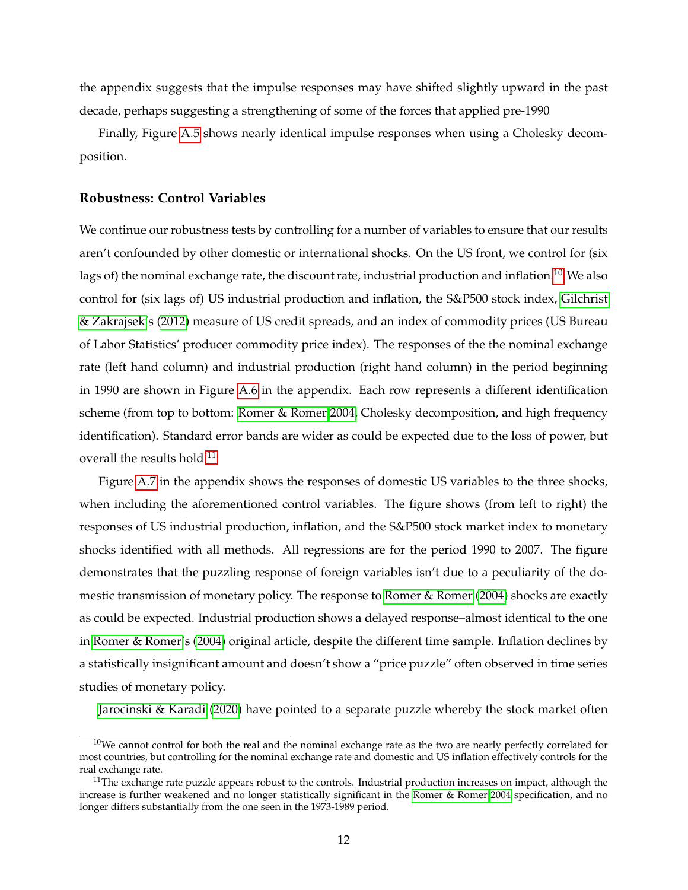the appendix suggests that the impulse responses may have shifted slightly upward in the past decade, perhaps suggesting a strengthening of some of the forces that applied pre-1990

Finally, Figure [A.5](#page-42-0) shows nearly identical impulse responses when using a Cholesky decomposition.

#### <span id="page-11-2"></span>**Robustness: Control Variables**

We continue our robustness tests by controlling for a number of variables to ensure that our results aren't confounded by other domestic or international shocks. On the US front, we control for (six lags of) the nominal exchange rate, the discount rate, industrial production and inflation.<sup>[10](#page-11-0)</sup> We also control for (six lags of) US industrial production and inflation, the S&P500 stock index, [Gilchrist](#page-25-8) [& Zakrajsek'](#page-25-8)s [\(2012\)](#page-25-8) measure of US credit spreads, and an index of commodity prices (US Bureau of Labor Statistics' producer commodity price index). The responses of the the nominal exchange rate (left hand column) and industrial production (right hand column) in the period beginning in 1990 are shown in Figure [A.6](#page-43-0) in the appendix. Each row represents a different identification scheme (from top to bottom: [Romer & Romer 2004,](#page-27-0) Cholesky decomposition, and high frequency identification). Standard error bands are wider as could be expected due to the loss of power, but overall the results hold.<sup>[11](#page-11-1)</sup>

Figure [A.7](#page-44-0) in the appendix shows the responses of domestic US variables to the three shocks, when including the aforementioned control variables. The figure shows (from left to right) the responses of US industrial production, inflation, and the S&P500 stock market index to monetary shocks identified with all methods. All regressions are for the period 1990 to 2007. The figure demonstrates that the puzzling response of foreign variables isn't due to a peculiarity of the domestic transmission of monetary policy. The response to [Romer & Romer](#page-27-0) [\(2004\)](#page-27-0) shocks are exactly as could be expected. Industrial production shows a delayed response–almost identical to the one in [Romer & Romer'](#page-27-0)s [\(2004\)](#page-27-0) original article, despite the different time sample. Inflation declines by a statistically insignificant amount and doesn't show a "price puzzle" often observed in time series studies of monetary policy.

[Jarocinski & Karadi](#page-26-7) [\(2020\)](#page-26-7) have pointed to a separate puzzle whereby the stock market often

<span id="page-11-0"></span> $10$ We cannot control for both the real and the nominal exchange rate as the two are nearly perfectly correlated for most countries, but controlling for the nominal exchange rate and domestic and US inflation effectively controls for the real exchange rate.

<span id="page-11-1"></span> $11$ The exchange rate puzzle appears robust to the controls. Industrial production increases on impact, although the increase is further weakened and no longer statistically significant in the [Romer & Romer 2004](#page-27-0) specification, and no longer differs substantially from the one seen in the 1973-1989 period.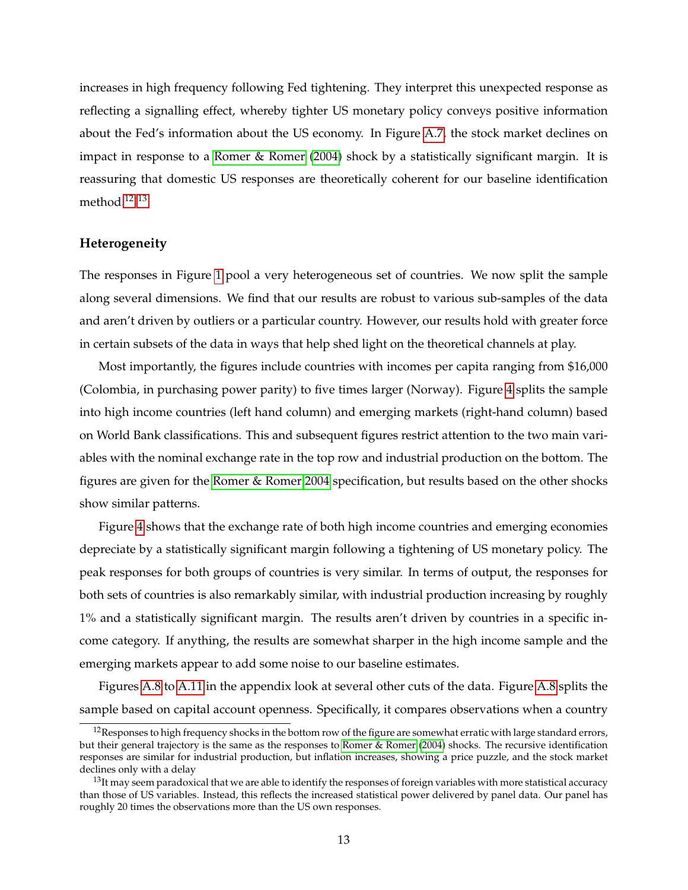increases in high frequency following Fed tightening. They interpret this unexpected response as reflecting a signalling effect, whereby tighter US monetary policy conveys positive information about the Fed's information about the US economy. In Figure [A.7,](#page-44-0) the stock market declines on impact in response to a [Romer & Romer](#page-27-0) [\(2004\)](#page-27-0) shock by a statistically significant margin. It is reassuring that domestic US responses are theoretically coherent for our baseline identification method.[12](#page-12-0) [13](#page-12-1)

#### **Heterogeneity**

The responses in Figure [1](#page-28-0) pool a very heterogeneous set of countries. We now split the sample along several dimensions. We find that our results are robust to various sub-samples of the data and aren't driven by outliers or a particular country. However, our results hold with greater force in certain subsets of the data in ways that help shed light on the theoretical channels at play.

Most importantly, the figures include countries with incomes per capita ranging from \$16,000 (Colombia, in purchasing power parity) to five times larger (Norway). Figure [4](#page-31-0) splits the sample into high income countries (left hand column) and emerging markets (right-hand column) based on World Bank classifications. This and subsequent figures restrict attention to the two main variables with the nominal exchange rate in the top row and industrial production on the bottom. The figures are given for the [Romer & Romer 2004](#page-27-0) specification, but results based on the other shocks show similar patterns.

Figure [4](#page-31-0) shows that the exchange rate of both high income countries and emerging economies depreciate by a statistically significant margin following a tightening of US monetary policy. The peak responses for both groups of countries is very similar. In terms of output, the responses for both sets of countries is also remarkably similar, with industrial production increasing by roughly 1% and a statistically significant margin. The results aren't driven by countries in a specific income category. If anything, the results are somewhat sharper in the high income sample and the emerging markets appear to add some noise to our baseline estimates.

Figures [A.8](#page-45-0) to [A.11](#page-48-0) in the appendix look at several other cuts of the data. Figure [A.8](#page-45-0) splits the sample based on capital account openness. Specifically, it compares observations when a country

<span id="page-12-0"></span><sup>&</sup>lt;sup>12</sup>Responses to high frequency shocks in the bottom row of the figure are somewhat erratic with large standard errors, but their general trajectory is the same as the responses to [Romer & Romer](#page-27-0) [\(2004\)](#page-27-0) shocks. The recursive identification responses are similar for industrial production, but inflation increases, showing a price puzzle, and the stock market declines only with a delay

<span id="page-12-1"></span> $13$ It may seem paradoxical that we are able to identify the responses of foreign variables with more statistical accuracy than those of US variables. Instead, this reflects the increased statistical power delivered by panel data. Our panel has roughly 20 times the observations more than the US own responses.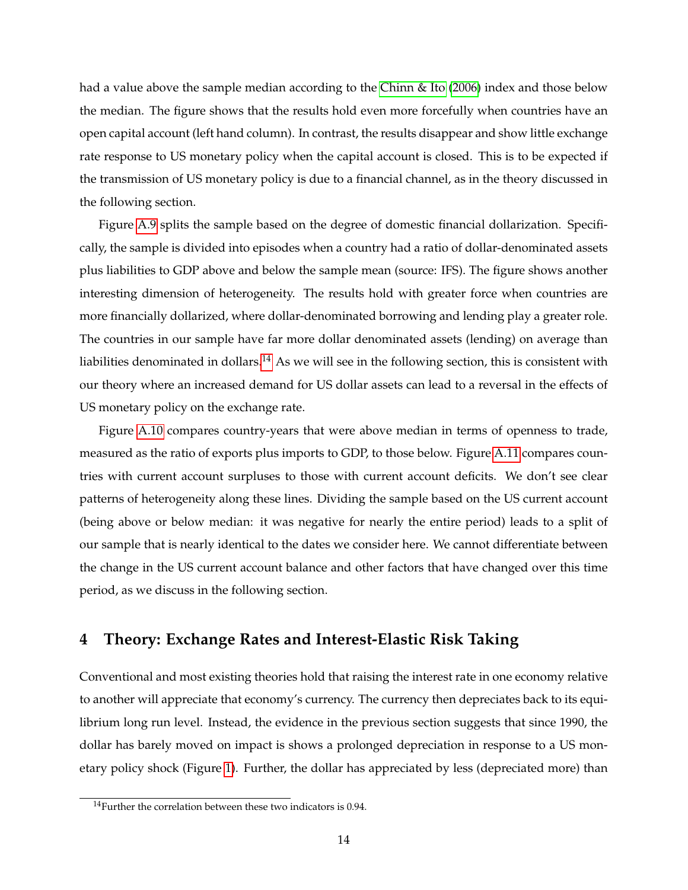had a value above the sample median according to the [Chinn & Ito](#page-24-6) [\(2006\)](#page-24-6) index and those below the median. The figure shows that the results hold even more forcefully when countries have an open capital account (left hand column). In contrast, the results disappear and show little exchange rate response to US monetary policy when the capital account is closed. This is to be expected if the transmission of US monetary policy is due to a financial channel, as in the theory discussed in the following section.

Figure [A.9](#page-46-0) splits the sample based on the degree of domestic financial dollarization. Specifically, the sample is divided into episodes when a country had a ratio of dollar-denominated assets plus liabilities to GDP above and below the sample mean (source: IFS). The figure shows another interesting dimension of heterogeneity. The results hold with greater force when countries are more financially dollarized, where dollar-denominated borrowing and lending play a greater role. The countries in our sample have far more dollar denominated assets (lending) on average than liabilities denominated in dollars.<sup>[14](#page-13-1)</sup> As we will see in the following section, this is consistent with our theory where an increased demand for US dollar assets can lead to a reversal in the effects of US monetary policy on the exchange rate.

Figure [A.10](#page-47-0) compares country-years that were above median in terms of openness to trade, measured as the ratio of exports plus imports to GDP, to those below. Figure [A.11](#page-48-0) compares countries with current account surpluses to those with current account deficits. We don't see clear patterns of heterogeneity along these lines. Dividing the sample based on the US current account (being above or below median: it was negative for nearly the entire period) leads to a split of our sample that is nearly identical to the dates we consider here. We cannot differentiate between the change in the US current account balance and other factors that have changed over this time period, as we discuss in the following section.

## <span id="page-13-0"></span>**4 Theory: Exchange Rates and Interest-Elastic Risk Taking**

Conventional and most existing theories hold that raising the interest rate in one economy relative to another will appreciate that economy's currency. The currency then depreciates back to its equilibrium long run level. Instead, the evidence in the previous section suggests that since 1990, the dollar has barely moved on impact is shows a prolonged depreciation in response to a US monetary policy shock (Figure [1\)](#page-28-0). Further, the dollar has appreciated by less (depreciated more) than

<span id="page-13-1"></span> $14$ Further the correlation between these two indicators is 0.94.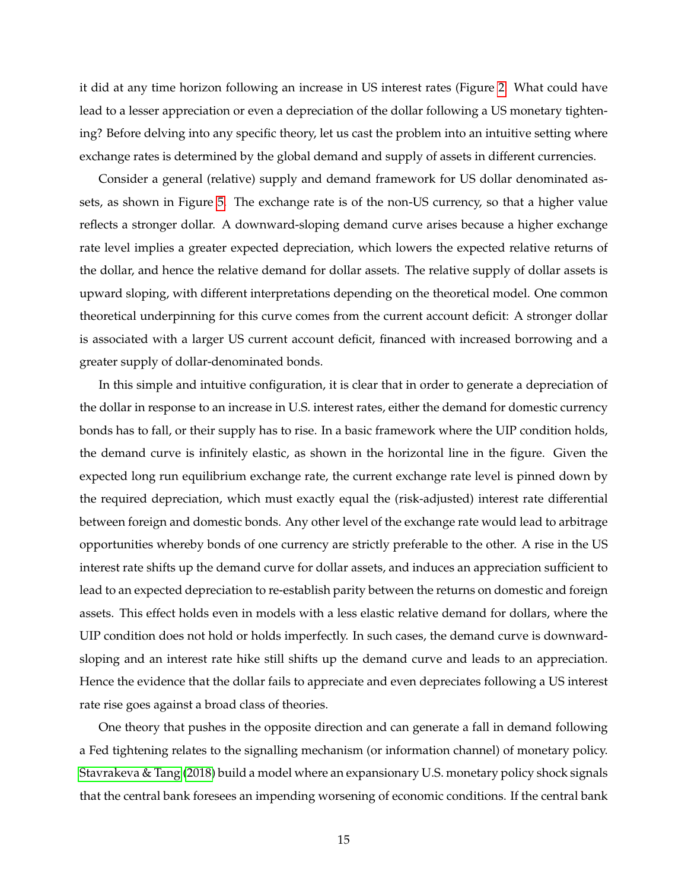it did at any time horizon following an increase in US interest rates (Figure [2.](#page-29-0) What could have lead to a lesser appreciation or even a depreciation of the dollar following a US monetary tightening? Before delving into any specific theory, let us cast the problem into an intuitive setting where exchange rates is determined by the global demand and supply of assets in different currencies.

Consider a general (relative) supply and demand framework for US dollar denominated assets, as shown in Figure [5.](#page-32-0) The exchange rate is of the non-US currency, so that a higher value reflects a stronger dollar. A downward-sloping demand curve arises because a higher exchange rate level implies a greater expected depreciation, which lowers the expected relative returns of the dollar, and hence the relative demand for dollar assets. The relative supply of dollar assets is upward sloping, with different interpretations depending on the theoretical model. One common theoretical underpinning for this curve comes from the current account deficit: A stronger dollar is associated with a larger US current account deficit, financed with increased borrowing and a greater supply of dollar-denominated bonds.

In this simple and intuitive configuration, it is clear that in order to generate a depreciation of the dollar in response to an increase in U.S. interest rates, either the demand for domestic currency bonds has to fall, or their supply has to rise. In a basic framework where the UIP condition holds, the demand curve is infinitely elastic, as shown in the horizontal line in the figure. Given the expected long run equilibrium exchange rate, the current exchange rate level is pinned down by the required depreciation, which must exactly equal the (risk-adjusted) interest rate differential between foreign and domestic bonds. Any other level of the exchange rate would lead to arbitrage opportunities whereby bonds of one currency are strictly preferable to the other. A rise in the US interest rate shifts up the demand curve for dollar assets, and induces an appreciation sufficient to lead to an expected depreciation to re-establish parity between the returns on domestic and foreign assets. This effect holds even in models with a less elastic relative demand for dollars, where the UIP condition does not hold or holds imperfectly. In such cases, the demand curve is downwardsloping and an interest rate hike still shifts up the demand curve and leads to an appreciation. Hence the evidence that the dollar fails to appreciate and even depreciates following a US interest rate rise goes against a broad class of theories.

One theory that pushes in the opposite direction and can generate a fall in demand following a Fed tightening relates to the signalling mechanism (or information channel) of monetary policy. [Stavrakeva & Tang](#page-27-3) [\(2018\)](#page-27-3) build a model where an expansionary U.S. monetary policy shock signals that the central bank foresees an impending worsening of economic conditions. If the central bank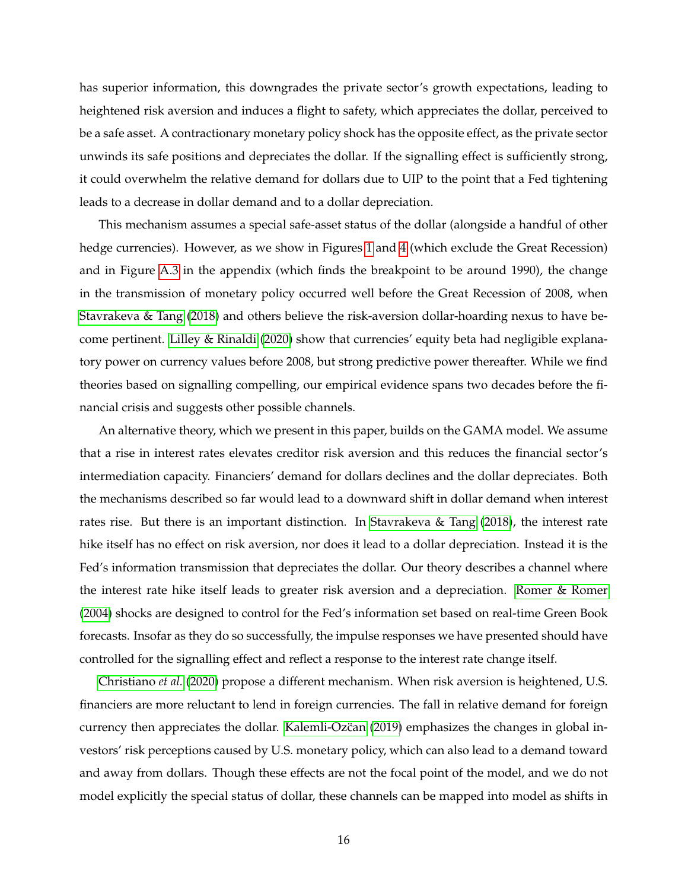has superior information, this downgrades the private sector's growth expectations, leading to heightened risk aversion and induces a flight to safety, which appreciates the dollar, perceived to be a safe asset. A contractionary monetary policy shock has the opposite effect, as the private sector unwinds its safe positions and depreciates the dollar. If the signalling effect is sufficiently strong, it could overwhelm the relative demand for dollars due to UIP to the point that a Fed tightening leads to a decrease in dollar demand and to a dollar depreciation.

This mechanism assumes a special safe-asset status of the dollar (alongside a handful of other hedge currencies). However, as we show in Figures [1](#page-28-0) and [4](#page-16-0) (which exclude the Great Recession) and in Figure [A.3](#page-40-0) in the appendix (which finds the breakpoint to be around 1990), the change in the transmission of monetary policy occurred well before the Great Recession of 2008, when [Stavrakeva & Tang](#page-27-3) [\(2018\)](#page-27-3) and others believe the risk-aversion dollar-hoarding nexus to have become pertinent. [Lilley & Rinaldi](#page-26-4) [\(2020\)](#page-26-4) show that currencies' equity beta had negligible explanatory power on currency values before 2008, but strong predictive power thereafter. While we find theories based on signalling compelling, our empirical evidence spans two decades before the financial crisis and suggests other possible channels.

An alternative theory, which we present in this paper, builds on the GAMA model. We assume that a rise in interest rates elevates creditor risk aversion and this reduces the financial sector's intermediation capacity. Financiers' demand for dollars declines and the dollar depreciates. Both the mechanisms described so far would lead to a downward shift in dollar demand when interest rates rise. But there is an important distinction. In [Stavrakeva & Tang](#page-27-3) [\(2018\)](#page-27-3), the interest rate hike itself has no effect on risk aversion, nor does it lead to a dollar depreciation. Instead it is the Fed's information transmission that depreciates the dollar. Our theory describes a channel where the interest rate hike itself leads to greater risk aversion and a depreciation. [Romer & Romer](#page-27-0) [\(2004\)](#page-27-0) shocks are designed to control for the Fed's information set based on real-time Green Book forecasts. Insofar as they do so successfully, the impulse responses we have presented should have controlled for the signalling effect and reflect a response to the interest rate change itself.

[Christiano](#page-24-7) *et al.* [\(2020\)](#page-24-7) propose a different mechanism. When risk aversion is heightened, U.S. financiers are more reluctant to lend in foreign currencies. The fall in relative demand for foreign currency then appreciates the dollar. [Kalemli-Ozcan](#page-26-10) [\(2019\)](#page-26-10) emphasizes the changes in global investors' risk perceptions caused by U.S. monetary policy, which can also lead to a demand toward and away from dollars. Though these effects are not the focal point of the model, and we do not model explicitly the special status of dollar, these channels can be mapped into model as shifts in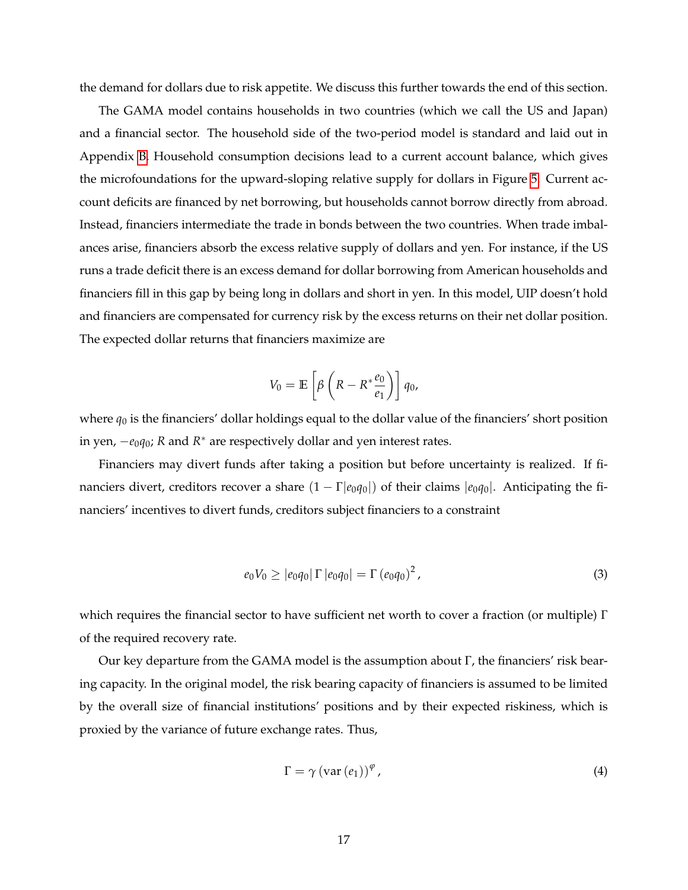the demand for dollars due to risk appetite. We discuss this further towards the end of this section.

The GAMA model contains households in two countries (which we call the US and Japan) and a financial sector. The household side of the two-period model is standard and laid out in Appendix [B.](#page-49-1) Household consumption decisions lead to a current account balance, which gives the microfoundations for the upward-sloping relative supply for dollars in Figure [5.](#page-32-0) Current account deficits are financed by net borrowing, but households cannot borrow directly from abroad. Instead, financiers intermediate the trade in bonds between the two countries. When trade imbalances arise, financiers absorb the excess relative supply of dollars and yen. For instance, if the US runs a trade deficit there is an excess demand for dollar borrowing from American households and financiers fill in this gap by being long in dollars and short in yen. In this model, UIP doesn't hold and financiers are compensated for currency risk by the excess returns on their net dollar position. The expected dollar returns that financiers maximize are

$$
V_0 = \mathbb{E}\left[\beta\left(R - R^* \frac{e_0}{e_1}\right)\right] q_0,
$$

where  $q_0$  is the financiers' dollar holdings equal to the dollar value of the financiers' short position in yen, −*e*0*q*0; *R* and *R* <sup>∗</sup> are respectively dollar and yen interest rates.

Financiers may divert funds after taking a position but before uncertainty is realized. If financiers divert, creditors recover a share (1 − Γ|*e*0*q*0|) of their claims |*e*0*q*0|. Anticipating the financiers' incentives to divert funds, creditors subject financiers to a constraint

<span id="page-16-1"></span>
$$
e_0 V_0 \ge |e_0 q_0| \Gamma |e_0 q_0| = \Gamma (e_0 q_0)^2, \qquad (3)
$$

which requires the financial sector to have sufficient net worth to cover a fraction (or multiple)  $Γ$ of the required recovery rate.

Our key departure from the GAMA model is the assumption about Γ, the financiers' risk bearing capacity. In the original model, the risk bearing capacity of financiers is assumed to be limited by the overall size of financial institutions' positions and by their expected riskiness, which is proxied by the variance of future exchange rates. Thus,

<span id="page-16-0"></span>
$$
\Gamma = \gamma \left( \text{var} \left( e_1 \right) \right)^{\varphi}, \tag{4}
$$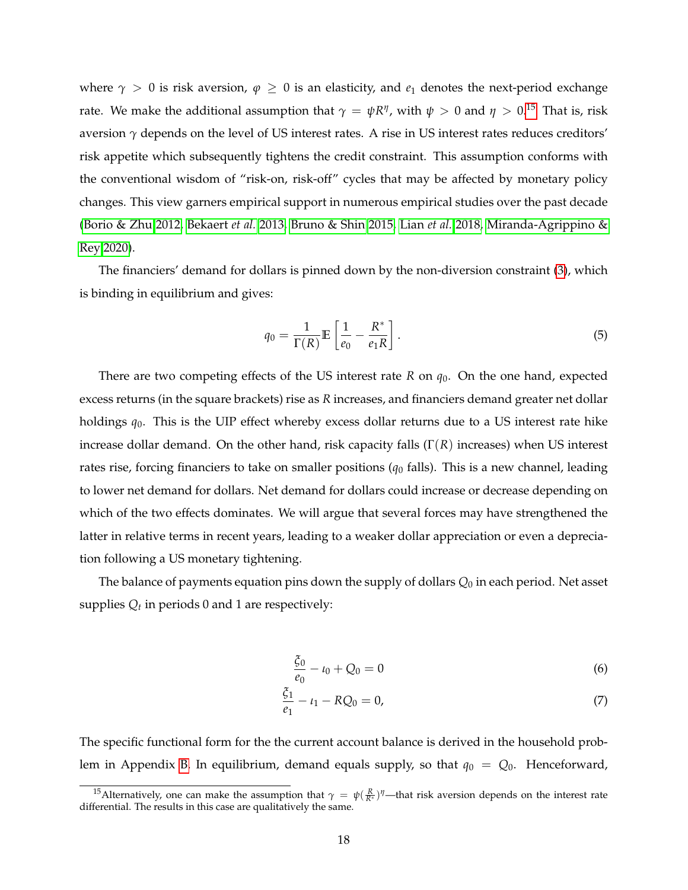where  $\gamma > 0$  is risk aversion,  $\varphi \geq 0$  is an elasticity, and  $e_1$  denotes the next-period exchange rate. We make the additional assumption that  $\gamma = \psi R^{\eta}$ , with  $\psi > 0$  and  $\eta > 0.15$  $\eta > 0.15$  That is, risk aversion *γ* depends on the level of US interest rates. A rise in US interest rates reduces creditors' risk appetite which subsequently tightens the credit constraint. This assumption conforms with the conventional wisdom of "risk-on, risk-off" cycles that may be affected by monetary policy changes. This view garners empirical support in numerous empirical studies over the past decade [\(Borio & Zhu 2012,](#page-24-1) [Bekaert](#page-24-2) *et al.* [2013,](#page-24-2) [Bruno & Shin 2015,](#page-24-3) [Lian](#page-26-1) *et al.* [2018,](#page-26-1) [Miranda-Agrippino &](#page-26-2) [Rey 2020\)](#page-26-2).

The financiers' demand for dollars is pinned down by the non-diversion constraint [\(3\)](#page-16-1), which is binding in equilibrium and gives:

<span id="page-17-2"></span>
$$
q_0 = \frac{1}{\Gamma(R)} \mathbb{E}\left[\frac{1}{e_0} - \frac{R^*}{e_1 R}\right].
$$
\n<sup>(5)</sup>

There are two competing effects of the US interest rate *R* on *q*0. On the one hand, expected excess returns (in the square brackets) rise as *R* increases, and financiers demand greater net dollar holdings *q*0. This is the UIP effect whereby excess dollar returns due to a US interest rate hike increase dollar demand. On the other hand, risk capacity falls (Γ(*R*) increases) when US interest rates rise, forcing financiers to take on smaller positions  $(q_0 \text{ falls})$ . This is a new channel, leading to lower net demand for dollars. Net demand for dollars could increase or decrease depending on which of the two effects dominates. We will argue that several forces may have strengthened the latter in relative terms in recent years, leading to a weaker dollar appreciation or even a depreciation following a US monetary tightening.

The balance of payments equation pins down the supply of dollars *Q*<sup>0</sup> in each period. Net asset supplies  $Q_t$  in periods 0 and 1 are respectively:

<span id="page-17-1"></span>
$$
\frac{\xi_0}{e_0} - \iota_0 + Q_0 = 0 \tag{6}
$$

$$
\frac{\xi_1}{e_1} - \iota_1 - RQ_0 = 0,\tag{7}
$$

The specific functional form for the the current account balance is derived in the household prob-lem in Appendix [B.](#page-49-1) In equilibrium, demand equals supply, so that  $q_0 = Q_0$ . Henceforward,

<span id="page-17-0"></span><sup>&</sup>lt;sup>15</sup>Alternatively, one can make the assumption that  $\gamma = \psi(\frac{R}{R^*})^{\eta}$ —that risk aversion depends on the interest rate differential. The results in this case are qualitatively the same.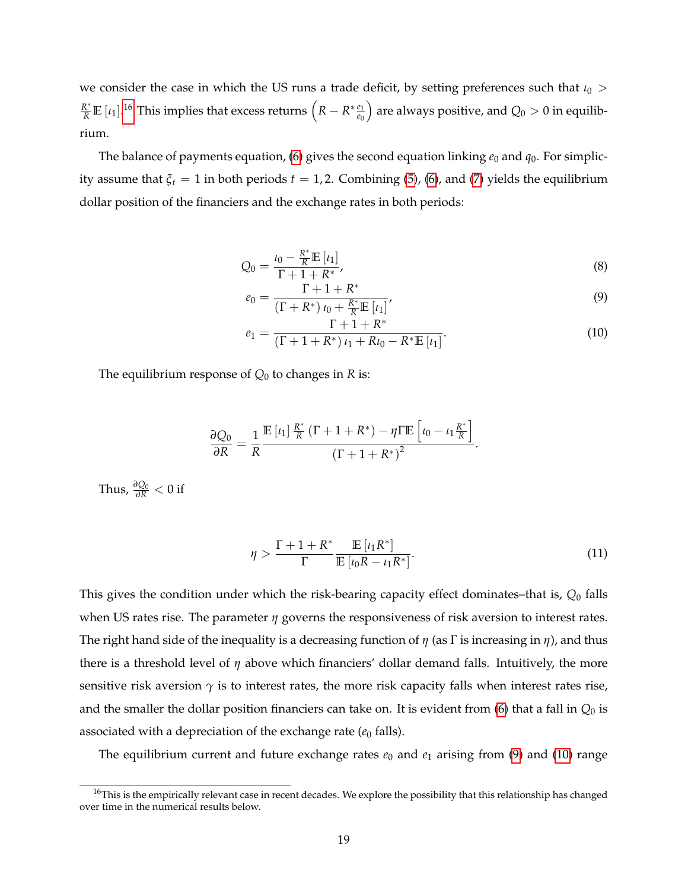we consider the case in which the US runs a trade deficit, by setting preferences such that *ι*<sub>0</sub> >  $\frac{R^*}{R} \mathbb{E} \left[ \iota_1 \right]$ .<sup>[16](#page-18-0)</sup> This implies that excess returns  $\left( R - R^* \frac{e_1}{e_0} \right)$ *e*0  $\big)$  are always positive, and  $Q_0 > 0$  in equilibrium.

The balance of payments equation, [\(6\)](#page-17-1) gives the second equation linking  $e_0$  and  $q_0$ . For simplicity assume that  $\xi_t = 1$  in both periods  $t = 1, 2$ . Combining [\(5\)](#page-17-2), [\(6\)](#page-17-1), and [\(7\)](#page-17-1) yields the equilibrium dollar position of the financiers and the exchange rates in both periods:

$$
Q_0 = \frac{\iota_0 - \frac{R^*}{R} \mathbb{E} \left[ \iota_1 \right]}{\Gamma + 1 + R^*},\tag{8}
$$

<span id="page-18-1"></span>
$$
e_0 = \frac{\Gamma + 1 + R^*}{(\Gamma + R^*) \, \iota_0 + \frac{R^*}{R} \mathbb{E} \, [\iota_1]},\tag{9}
$$

<span id="page-18-2"></span>
$$
e_1 = \frac{\Gamma + 1 + R^*}{(\Gamma + 1 + R^*) \, \iota_1 + R \iota_0 - R^* \mathbb{E} \left[ \iota_1 \right]}.
$$
\n(10)

The equilibrium response of  $Q_0$  to changes in *R* is:

$$
\frac{\partial Q_0}{\partial R} = \frac{1}{R} \frac{\mathbb{E} \left[ \iota_1 \right] \frac{R^*}{R} \left( \Gamma + 1 + R^* \right) - \eta \Gamma \mathbb{E} \left[ \iota_0 - \iota_1 \frac{R^*}{R} \right]}{\left( \Gamma + 1 + R^* \right)^2}.
$$

Thus,  $\frac{\partial Q_0}{\partial R} < 0$  if

<span id="page-18-3"></span>
$$
\eta > \frac{\Gamma + 1 + R^*}{\Gamma} \frac{\mathbb{E} \left[ \iota_1 R^* \right]}{\mathbb{E} \left[ \iota_0 R - \iota_1 R^* \right]}.
$$
\n(11)

This gives the condition under which the risk-bearing capacity effect dominates–that is, *Q*<sup>0</sup> falls when US rates rise. The parameter *η* governs the responsiveness of risk aversion to interest rates. The right hand side of the inequality is a decreasing function of *η* (as Γ is increasing in *η*), and thus there is a threshold level of *η* above which financiers' dollar demand falls. Intuitively, the more sensitive risk aversion  $\gamma$  is to interest rates, the more risk capacity falls when interest rates rise, and the smaller the dollar position financiers can take on. It is evident from [\(6\)](#page-17-1) that a fall in *Q*<sup>0</sup> is associated with a depreciation of the exchange rate  $(e_0 \text{ falls})$ .

The equilibrium current and future exchange rates  $e_0$  and  $e_1$  arising from [\(9\)](#page-18-1) and [\(10\)](#page-18-2) range

<span id="page-18-0"></span> $16$ This is the empirically relevant case in recent decades. We explore the possibility that this relationship has changed over time in the numerical results below.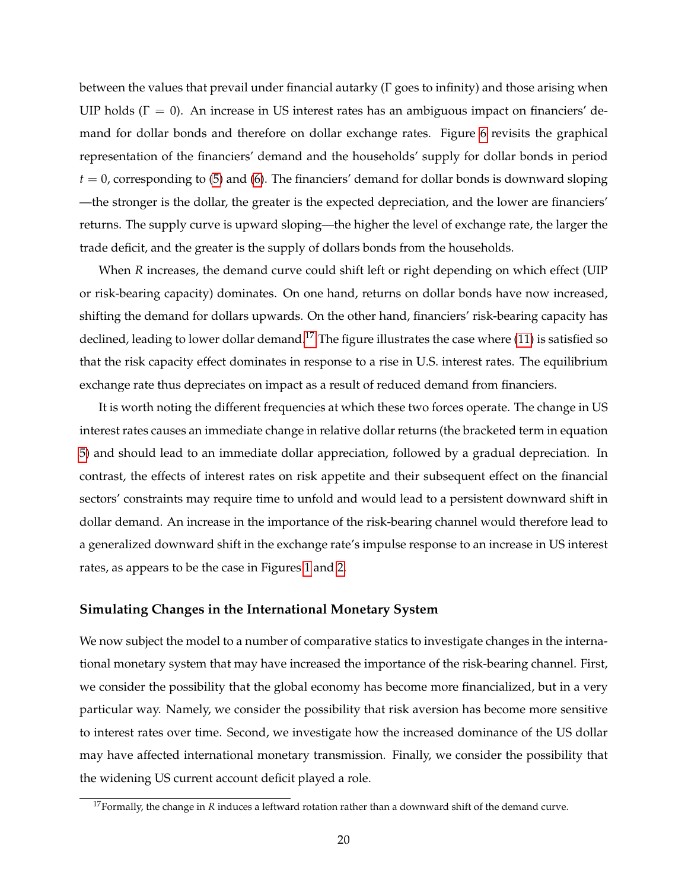between the values that prevail under financial autarky (Γ goes to infinity) and those arising when UIP holds ( $\Gamma = 0$ ). An increase in US interest rates has an ambiguous impact on financiers' demand for dollar bonds and therefore on dollar exchange rates. Figure [6](#page-33-0) revisits the graphical representation of the financiers' demand and the households' supply for dollar bonds in period  $t = 0$ , corresponding to [\(5\)](#page-17-2) and [\(6\)](#page-17-1). The financiers' demand for dollar bonds is downward sloping —the stronger is the dollar, the greater is the expected depreciation, and the lower are financiers' returns. The supply curve is upward sloping—the higher the level of exchange rate, the larger the trade deficit, and the greater is the supply of dollars bonds from the households.

When *R* increases, the demand curve could shift left or right depending on which effect (UIP or risk-bearing capacity) dominates. On one hand, returns on dollar bonds have now increased, shifting the demand for dollars upwards. On the other hand, financiers' risk-bearing capacity has declined, leading to lower dollar demand.<sup>[17](#page-19-0)</sup> The figure illustrates the case where [\(11\)](#page-18-3) is satisfied so that the risk capacity effect dominates in response to a rise in U.S. interest rates. The equilibrium exchange rate thus depreciates on impact as a result of reduced demand from financiers.

It is worth noting the different frequencies at which these two forces operate. The change in US interest rates causes an immediate change in relative dollar returns (the bracketed term in equation [5\)](#page-17-2) and should lead to an immediate dollar appreciation, followed by a gradual depreciation. In contrast, the effects of interest rates on risk appetite and their subsequent effect on the financial sectors' constraints may require time to unfold and would lead to a persistent downward shift in dollar demand. An increase in the importance of the risk-bearing channel would therefore lead to a generalized downward shift in the exchange rate's impulse response to an increase in US interest rates, as appears to be the case in Figures [1](#page-28-0) and [2.](#page-29-0)

#### **Simulating Changes in the International Monetary System**

We now subject the model to a number of comparative statics to investigate changes in the international monetary system that may have increased the importance of the risk-bearing channel. First, we consider the possibility that the global economy has become more financialized, but in a very particular way. Namely, we consider the possibility that risk aversion has become more sensitive to interest rates over time. Second, we investigate how the increased dominance of the US dollar may have affected international monetary transmission. Finally, we consider the possibility that the widening US current account deficit played a role.

<span id="page-19-0"></span><sup>&</sup>lt;sup>17</sup> Formally, the change in *R* induces a leftward rotation rather than a downward shift of the demand curve.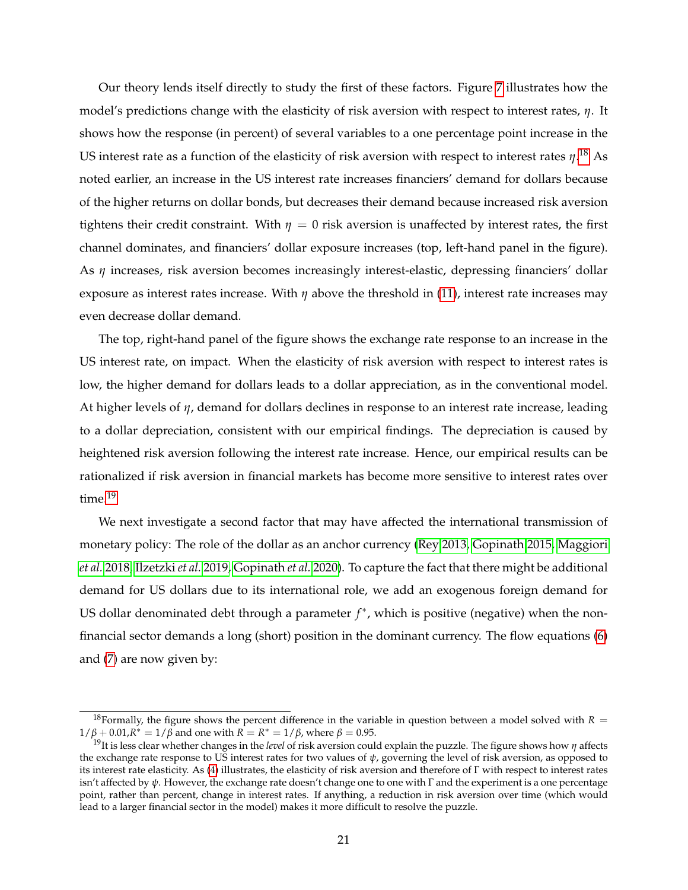Our theory lends itself directly to study the first of these factors. Figure [7](#page-34-0) illustrates how the model's predictions change with the elasticity of risk aversion with respect to interest rates, *η*. It shows how the response (in percent) of several variables to a one percentage point increase in the US interest rate as a function of the elasticity of risk aversion with respect to interest rates *η*. [18](#page-20-0) As noted earlier, an increase in the US interest rate increases financiers' demand for dollars because of the higher returns on dollar bonds, but decreases their demand because increased risk aversion tightens their credit constraint. With  $\eta = 0$  risk aversion is unaffected by interest rates, the first channel dominates, and financiers' dollar exposure increases (top, left-hand panel in the figure). As *η* increases, risk aversion becomes increasingly interest-elastic, depressing financiers' dollar exposure as interest rates increase. With *η* above the threshold in [\(11\)](#page-18-3), interest rate increases may even decrease dollar demand.

The top, right-hand panel of the figure shows the exchange rate response to an increase in the US interest rate, on impact. When the elasticity of risk aversion with respect to interest rates is low, the higher demand for dollars leads to a dollar appreciation, as in the conventional model. At higher levels of *η*, demand for dollars declines in response to an interest rate increase, leading to a dollar depreciation, consistent with our empirical findings. The depreciation is caused by heightened risk aversion following the interest rate increase. Hence, our empirical results can be rationalized if risk aversion in financial markets has become more sensitive to interest rates over time.<sup>[19](#page-20-1)</sup>

We next investigate a second factor that may have affected the international transmission of monetary policy: The role of the dollar as an anchor currency [\(Rey 2013,](#page-27-4) [Gopinath 2015,](#page-25-9) [Maggiori](#page-26-11) *[et al.](#page-26-11)* [2018,](#page-26-11) [Ilzetzki](#page-26-3) *et al.* [2019,](#page-26-3) [Gopinath](#page-25-10) *et al.* [2020\)](#page-25-10). To capture the fact that there might be additional demand for US dollars due to its international role, we add an exogenous foreign demand for US dollar denominated debt through a parameter  $f^*$ , which is positive (negative) when the nonfinancial sector demands a long (short) position in the dominant currency. The flow equations [\(6\)](#page-17-1) and [\(7\)](#page-17-1) are now given by:

<span id="page-20-0"></span><sup>&</sup>lt;sup>18</sup>Formally, the figure shows the percent difference in the variable in question between a model solved with  $R =$  $1/\beta + 0.01$ ,  $R^* = 1/\beta$  and one with  $\overline{R} = R^* = 1/\beta$ , where  $\beta = 0.95$ .

<span id="page-20-1"></span><sup>19</sup>It is less clear whether changes in the *level* of risk aversion could explain the puzzle. The figure shows how *η* affects the exchange rate response to US interest rates for two values of *ψ*, governing the level of risk aversion, as opposed to its interest rate elasticity. As [\(4\)](#page-16-0) illustrates, the elasticity of risk aversion and therefore of Γ with respect to interest rates isn't affected by *ψ*. However, the exchange rate doesn't change one to one with Γ and the experiment is a one percentage point, rather than percent, change in interest rates. If anything, a reduction in risk aversion over time (which would lead to a larger financial sector in the model) makes it more difficult to resolve the puzzle.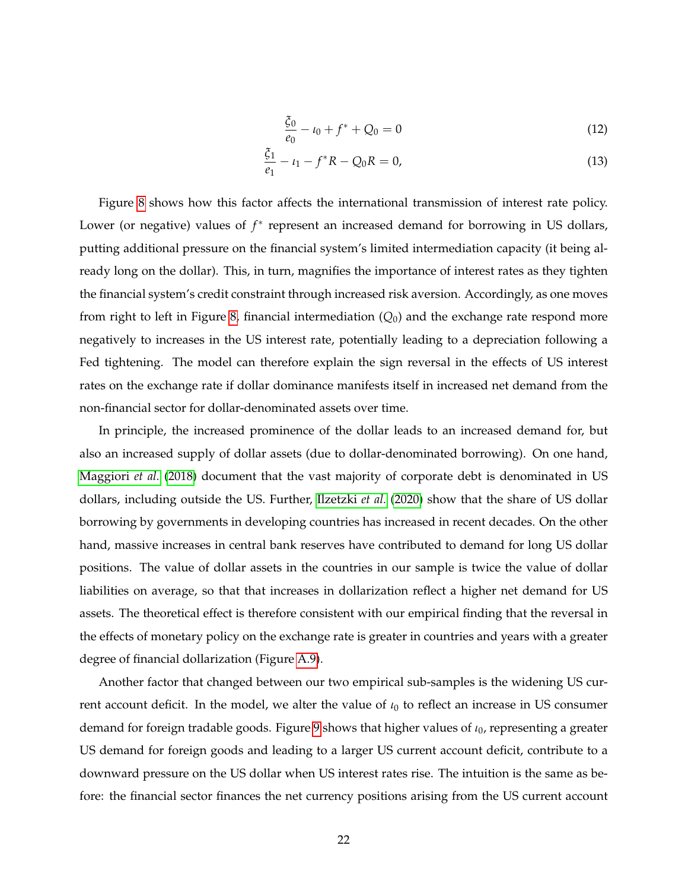$$
\frac{\xi_0}{e_0} - \iota_0 + f^* + Q_0 = 0 \tag{12}
$$

$$
\frac{\xi_1}{e_1} - \iota_1 - f^* R - Q_0 R = 0,\tag{13}
$$

Figure [8](#page-35-0) shows how this factor affects the international transmission of interest rate policy. Lower (or negative) values of  $f^*$  represent an increased demand for borrowing in US dollars, putting additional pressure on the financial system's limited intermediation capacity (it being already long on the dollar). This, in turn, magnifies the importance of interest rates as they tighten the financial system's credit constraint through increased risk aversion. Accordingly, as one moves from right to left in Figure [8,](#page-35-0) financial intermediation  $(Q_0)$  and the exchange rate respond more negatively to increases in the US interest rate, potentially leading to a depreciation following a Fed tightening. The model can therefore explain the sign reversal in the effects of US interest rates on the exchange rate if dollar dominance manifests itself in increased net demand from the non-financial sector for dollar-denominated assets over time.

In principle, the increased prominence of the dollar leads to an increased demand for, but also an increased supply of dollar assets (due to dollar-denominated borrowing). On one hand, [Maggiori](#page-26-11) *et al.* [\(2018\)](#page-26-11) document that the vast majority of corporate debt is denominated in US dollars, including outside the US. Further, [Ilzetzki](#page-26-12) *et al.* [\(2020\)](#page-26-12) show that the share of US dollar borrowing by governments in developing countries has increased in recent decades. On the other hand, massive increases in central bank reserves have contributed to demand for long US dollar positions. The value of dollar assets in the countries in our sample is twice the value of dollar liabilities on average, so that that increases in dollarization reflect a higher net demand for US assets. The theoretical effect is therefore consistent with our empirical finding that the reversal in the effects of monetary policy on the exchange rate is greater in countries and years with a greater degree of financial dollarization (Figure [A.9\)](#page-46-0).

Another factor that changed between our two empirical sub-samples is the widening US current account deficit. In the model, we alter the value of  $\iota_0$  to reflect an increase in US consumer demand for foreign tradable goods. Figure [9](#page-36-0) shows that higher values of *ι*0, representing a greater US demand for foreign goods and leading to a larger US current account deficit, contribute to a downward pressure on the US dollar when US interest rates rise. The intuition is the same as before: the financial sector finances the net currency positions arising from the US current account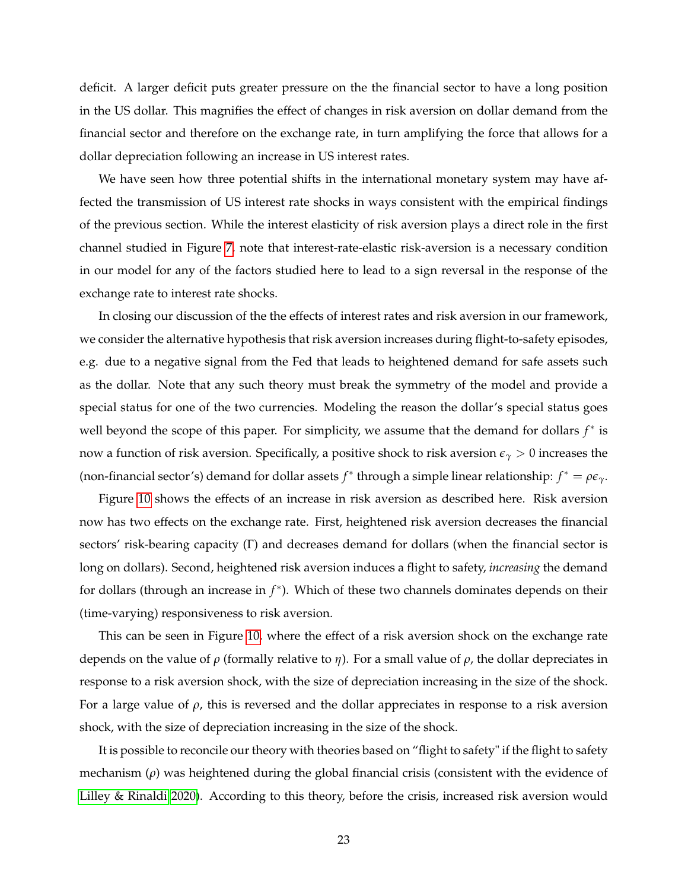deficit. A larger deficit puts greater pressure on the the financial sector to have a long position in the US dollar. This magnifies the effect of changes in risk aversion on dollar demand from the financial sector and therefore on the exchange rate, in turn amplifying the force that allows for a dollar depreciation following an increase in US interest rates.

We have seen how three potential shifts in the international monetary system may have affected the transmission of US interest rate shocks in ways consistent with the empirical findings of the previous section. While the interest elasticity of risk aversion plays a direct role in the first channel studied in Figure [7,](#page-34-0) note that interest-rate-elastic risk-aversion is a necessary condition in our model for any of the factors studied here to lead to a sign reversal in the response of the exchange rate to interest rate shocks.

In closing our discussion of the the effects of interest rates and risk aversion in our framework, we consider the alternative hypothesis that risk aversion increases during flight-to-safety episodes, e.g. due to a negative signal from the Fed that leads to heightened demand for safe assets such as the dollar. Note that any such theory must break the symmetry of the model and provide a special status for one of the two currencies. Modeling the reason the dollar's special status goes well beyond the scope of this paper. For simplicity, we assume that the demand for dollars *f*<sup>\*</sup> is now a function of risk aversion. Specifically, a positive shock to risk aversion  $\epsilon_{\gamma} > 0$  increases the (non-financial sector's) demand for dollar assets  $f^*$  through a simple linear relationship:  $f^* = \rho \epsilon_\gamma$ .

Figure [10](#page-37-0) shows the effects of an increase in risk aversion as described here. Risk aversion now has two effects on the exchange rate. First, heightened risk aversion decreases the financial sectors' risk-bearing capacity (Γ) and decreases demand for dollars (when the financial sector is long on dollars). Second, heightened risk aversion induces a flight to safety, *increasing* the demand for dollars (through an increase in *f*<sup>\*</sup>). Which of these two channels dominates depends on their (time-varying) responsiveness to risk aversion.

This can be seen in Figure [10,](#page-37-0) where the effect of a risk aversion shock on the exchange rate depends on the value of *ρ* (formally relative to *η*). For a small value of *ρ*, the dollar depreciates in response to a risk aversion shock, with the size of depreciation increasing in the size of the shock. For a large value of  $\rho$ , this is reversed and the dollar appreciates in response to a risk aversion shock, with the size of depreciation increasing in the size of the shock.

It is possible to reconcile our theory with theories based on "flight to safety" if the flight to safety mechanism (*ρ*) was heightened during the global financial crisis (consistent with the evidence of [Lilley & Rinaldi 2020\)](#page-26-4). According to this theory, before the crisis, increased risk aversion would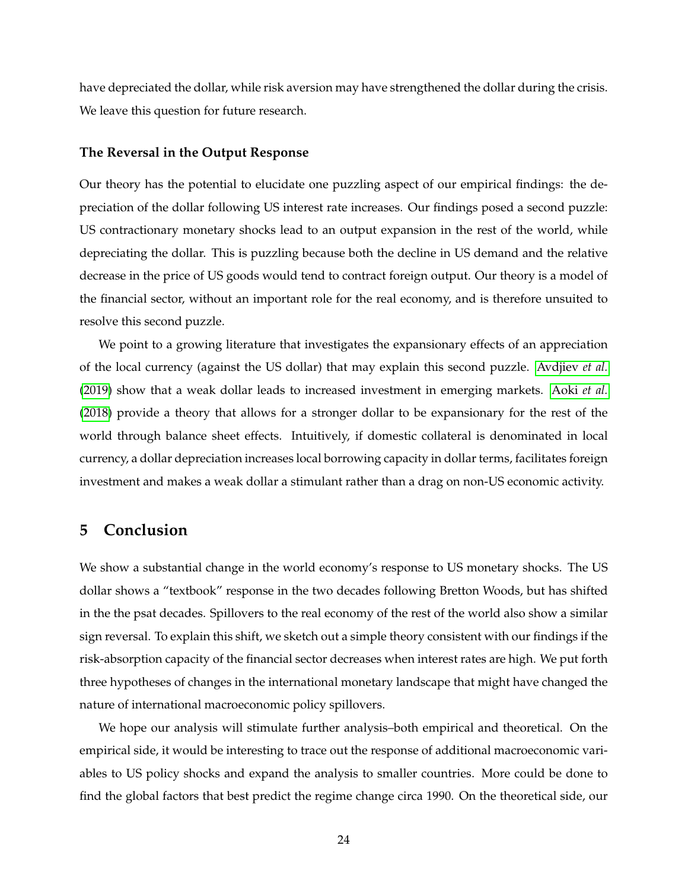have depreciated the dollar, while risk aversion may have strengthened the dollar during the crisis. We leave this question for future research.

#### **The Reversal in the Output Response**

Our theory has the potential to elucidate one puzzling aspect of our empirical findings: the depreciation of the dollar following US interest rate increases. Our findings posed a second puzzle: US contractionary monetary shocks lead to an output expansion in the rest of the world, while depreciating the dollar. This is puzzling because both the decline in US demand and the relative decrease in the price of US goods would tend to contract foreign output. Our theory is a model of the financial sector, without an important role for the real economy, and is therefore unsuited to resolve this second puzzle.

We point to a growing literature that investigates the expansionary effects of an appreciation of the local currency (against the US dollar) that may explain this second puzzle. [Avdjiev](#page-24-8) *et al.* [\(2019\)](#page-24-8) show that a weak dollar leads to increased investment in emerging markets. [Aoki](#page-24-9) *et al.* [\(2018\)](#page-24-9) provide a theory that allows for a stronger dollar to be expansionary for the rest of the world through balance sheet effects. Intuitively, if domestic collateral is denominated in local currency, a dollar depreciation increases local borrowing capacity in dollar terms, facilitates foreign investment and makes a weak dollar a stimulant rather than a drag on non-US economic activity.

## <span id="page-23-0"></span>**5 Conclusion**

We show a substantial change in the world economy's response to US monetary shocks. The US dollar shows a "textbook" response in the two decades following Bretton Woods, but has shifted in the the psat decades. Spillovers to the real economy of the rest of the world also show a similar sign reversal. To explain this shift, we sketch out a simple theory consistent with our findings if the risk-absorption capacity of the financial sector decreases when interest rates are high. We put forth three hypotheses of changes in the international monetary landscape that might have changed the nature of international macroeconomic policy spillovers.

We hope our analysis will stimulate further analysis–both empirical and theoretical. On the empirical side, it would be interesting to trace out the response of additional macroeconomic variables to US policy shocks and expand the analysis to smaller countries. More could be done to find the global factors that best predict the regime change circa 1990. On the theoretical side, our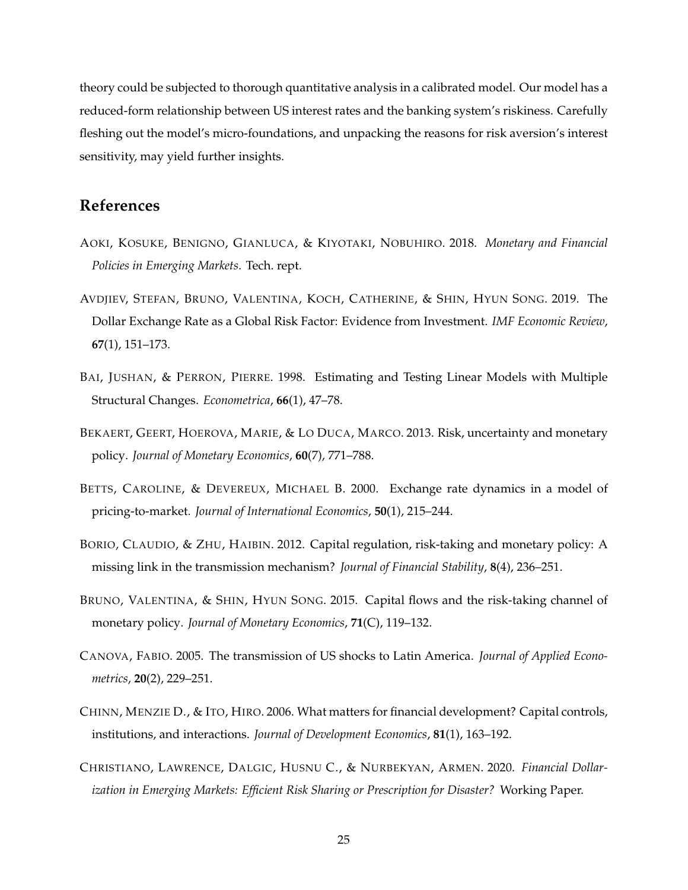theory could be subjected to thorough quantitative analysis in a calibrated model. Our model has a reduced-form relationship between US interest rates and the banking system's riskiness. Carefully fleshing out the model's micro-foundations, and unpacking the reasons for risk aversion's interest sensitivity, may yield further insights.

## **References**

- <span id="page-24-9"></span>AOKI, KOSUKE, BENIGNO, GIANLUCA, & KIYOTAKI, NOBUHIRO. 2018. *Monetary and Financial Policies in Emerging Markets*. Tech. rept.
- <span id="page-24-8"></span>AVDJIEV, STEFAN, BRUNO, VALENTINA, KOCH, CATHERINE, & SHIN, HYUN SONG. 2019. The Dollar Exchange Rate as a Global Risk Factor: Evidence from Investment. *IMF Economic Review*, **67**(1), 151–173.
- <span id="page-24-5"></span>BAI, JUSHAN, & PERRON, PIERRE. 1998. Estimating and Testing Linear Models with Multiple Structural Changes. *Econometrica*, **66**(1), 47–78.
- <span id="page-24-2"></span>BEKAERT, GEERT, HOEROVA, MARIE, & LO DUCA, MARCO. 2013. Risk, uncertainty and monetary policy. *Journal of Monetary Economics*, **60**(7), 771–788.
- <span id="page-24-0"></span>BETTS, CAROLINE, & DEVEREUX, MICHAEL B. 2000. Exchange rate dynamics in a model of pricing-to-market. *Journal of International Economics*, **50**(1), 215–244.
- <span id="page-24-1"></span>BORIO, CLAUDIO, & ZHU, HAIBIN. 2012. Capital regulation, risk-taking and monetary policy: A missing link in the transmission mechanism? *Journal of Financial Stability*, **8**(4), 236–251.
- <span id="page-24-3"></span>BRUNO, VALENTINA, & SHIN, HYUN SONG. 2015. Capital flows and the risk-taking channel of monetary policy. *Journal of Monetary Economics*, **71**(C), 119–132.
- <span id="page-24-4"></span>CANOVA, FABIO. 2005. The transmission of US shocks to Latin America. *Journal of Applied Econometrics*, **20**(2), 229–251.
- <span id="page-24-6"></span>CHINN, MENZIE D., & ITO, HIRO. 2006. What matters for financial development? Capital controls, institutions, and interactions. *Journal of Development Economics*, **81**(1), 163–192.
- <span id="page-24-7"></span>CHRISTIANO, LAWRENCE, DALGIC, HUSNU C., & NURBEKYAN, ARMEN. 2020. *Financial Dollarization in Emerging Markets: Efficient Risk Sharing or Prescription for Disaster?* Working Paper.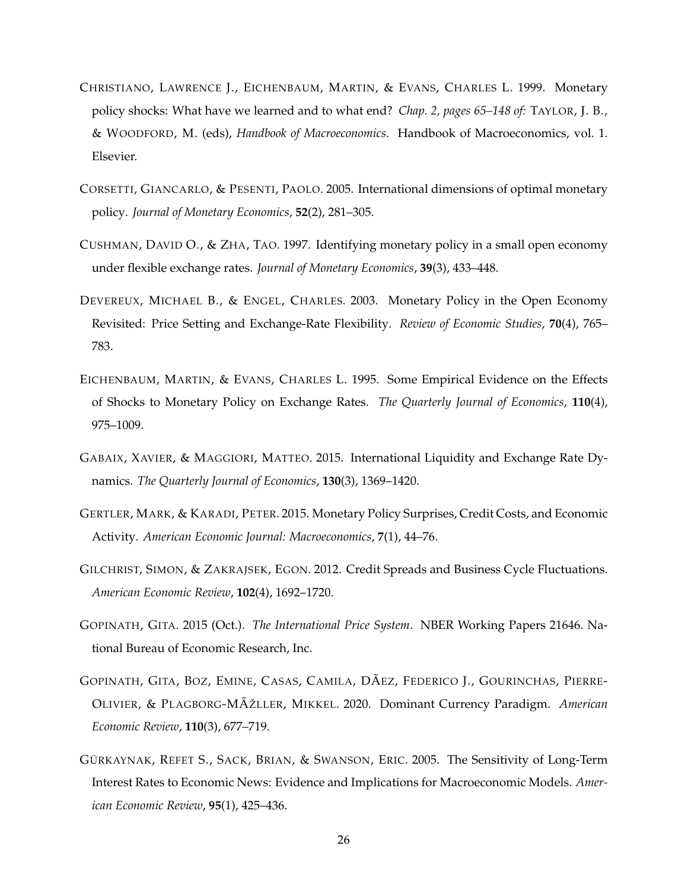- <span id="page-25-3"></span>CHRISTIANO, LAWRENCE J., EICHENBAUM, MARTIN, & EVANS, CHARLES L. 1999. Monetary policy shocks: What have we learned and to what end? *Chap. 2, pages 65–148 of:* TAYLOR, J. B., & WOODFORD, M. (eds), *Handbook of Macroeconomics*. Handbook of Macroeconomics, vol. 1. Elsevier.
- <span id="page-25-5"></span>CORSETTI, GIANCARLO, & PESENTI, PAOLO. 2005. International dimensions of optimal monetary policy. *Journal of Monetary Economics*, **52**(2), 281–305.
- <span id="page-25-7"></span>CUSHMAN, DAVID O., & ZHA, TAO. 1997. Identifying monetary policy in a small open economy under flexible exchange rates. *Journal of Monetary Economics*, **39**(3), 433–448.
- <span id="page-25-4"></span>DEVEREUX, MICHAEL B., & ENGEL, CHARLES. 2003. Monetary Policy in the Open Economy Revisited: Price Setting and Exchange-Rate Flexibility. *Review of Economic Studies*, **70**(4), 765– 783.
- <span id="page-25-2"></span>EICHENBAUM, MARTIN, & EVANS, CHARLES L. 1995. Some Empirical Evidence on the Effects of Shocks to Monetary Policy on Exchange Rates. *The Quarterly Journal of Economics*, **110**(4), 975–1009.
- <span id="page-25-6"></span>GABAIX, XAVIER, & MAGGIORI, MATTEO. 2015. International Liquidity and Exchange Rate Dynamics. *The Quarterly Journal of Economics*, **130**(3), 1369–1420.
- <span id="page-25-1"></span>GERTLER, MARK, & KARADI, PETER. 2015. Monetary Policy Surprises, Credit Costs, and Economic Activity. *American Economic Journal: Macroeconomics*, **7**(1), 44–76.
- <span id="page-25-8"></span>GILCHRIST, SIMON, & ZAKRAJSEK, EGON. 2012. Credit Spreads and Business Cycle Fluctuations. *American Economic Review*, **102**(4), 1692–1720.
- <span id="page-25-9"></span>GOPINATH, GITA. 2015 (Oct.). *The International Price System*. NBER Working Papers 21646. National Bureau of Economic Research, Inc.
- <span id="page-25-10"></span>GOPINATH, GITA, BOZ, EMINE, CASAS, CAMILA, DÃEZ, FEDERICO J., GOURINCHAS, PIERRE-OLIVIER, & PLAGBORG-MÃŽLLER, MIKKEL. 2020. Dominant Currency Paradigm. *American Economic Review*, **110**(3), 677–719.
- <span id="page-25-0"></span>GÜRKAYNAK, REFET S., SACK, BRIAN, & SWANSON, ERIC. 2005. The Sensitivity of Long-Term Interest Rates to Economic News: Evidence and Implications for Macroeconomic Models. *American Economic Review*, **95**(1), 425–436.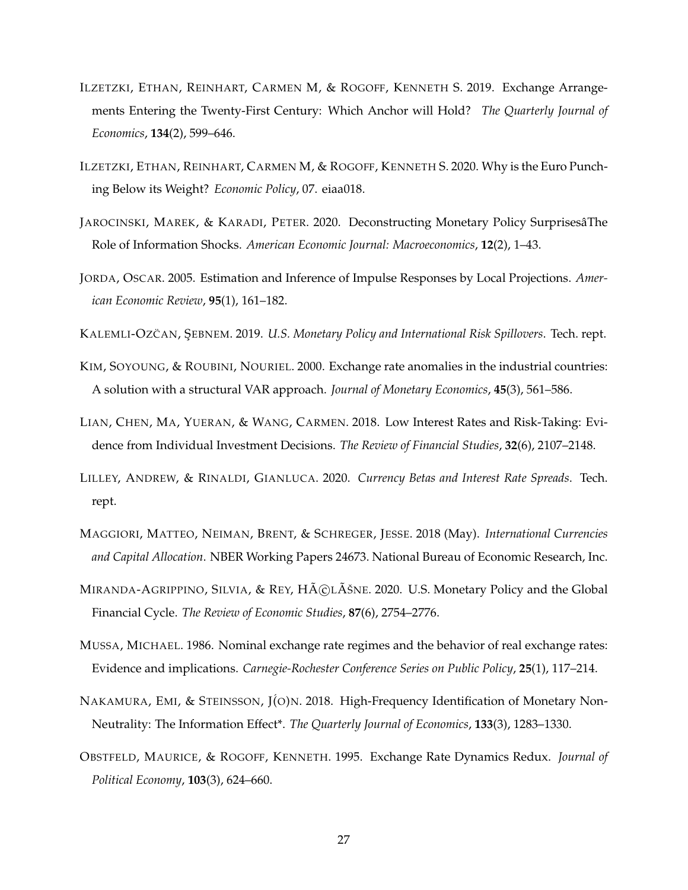- <span id="page-26-3"></span>ILZETZKI, ETHAN, REINHART, CARMEN M, & ROGOFF, KENNETH S. 2019. Exchange Arrangements Entering the Twenty-First Century: Which Anchor will Hold? *The Quarterly Journal of Economics*, **134**(2), 599–646.
- <span id="page-26-12"></span>ILZETZKI, ETHAN, REINHART, CARMEN M, & ROGOFF, KENNETH S. 2020. Why is the Euro Punching Below its Weight? *Economic Policy*, 07. eiaa018.
- <span id="page-26-7"></span>JAROCINSKI, MAREK, & KARADI, PETER. 2020. Deconstructing Monetary Policy SurprisesâThe Role of Information Shocks. *American Economic Journal: Macroeconomics*, **12**(2), 1–43.
- <span id="page-26-8"></span>JORDA, OSCAR. 2005. Estimation and Inference of Impulse Responses by Local Projections. *American Economic Review*, **95**(1), 161–182.

<span id="page-26-10"></span>KALEMLI-OZCAN, ŞEBNEM. 2019. U.S. Monetary Policy and International Risk Spillovers. Tech. rept.

- <span id="page-26-5"></span>KIM, SOYOUNG, & ROUBINI, NOURIEL. 2000. Exchange rate anomalies in the industrial countries: A solution with a structural VAR approach. *Journal of Monetary Economics*, **45**(3), 561–586.
- <span id="page-26-1"></span>LIAN, CHEN, MA, YUERAN, & WANG, CARMEN. 2018. Low Interest Rates and Risk-Taking: Evidence from Individual Investment Decisions. *The Review of Financial Studies*, **32**(6), 2107–2148.
- <span id="page-26-4"></span>LILLEY, ANDREW, & RINALDI, GIANLUCA. 2020. *Currency Betas and Interest Rate Spreads*. Tech. rept.
- <span id="page-26-11"></span>MAGGIORI, MATTEO, NEIMAN, BRENT, & SCHREGER, JESSE. 2018 (May). *International Currencies and Capital Allocation*. NBER Working Papers 24673. National Bureau of Economic Research, Inc.
- <span id="page-26-2"></span>MIRANDA-AGRIPPINO, SILVIA, & REY,  $H\tilde{A}C\tilde{A}$ SNE. 2020. U.S. Monetary Policy and the Global Financial Cycle. *The Review of Economic Studies*, **87**(6), 2754–2776.
- <span id="page-26-9"></span>MUSSA, MICHAEL. 1986. Nominal exchange rate regimes and the behavior of real exchange rates: Evidence and implications. *Carnegie-Rochester Conference Series on Public Policy*, **25**(1), 117–214.
- <span id="page-26-6"></span>NAKAMURA, EMI, & STEINSSON, J(O)N. 2018. High-Frequency Identification of Monetary Non-Neutrality: The Information Effect\*. *The Quarterly Journal of Economics*, **133**(3), 1283–1330.
- <span id="page-26-0"></span>OBSTFELD, MAURICE, & ROGOFF, KENNETH. 1995. Exchange Rate Dynamics Redux. *Journal of Political Economy*, **103**(3), 624–660.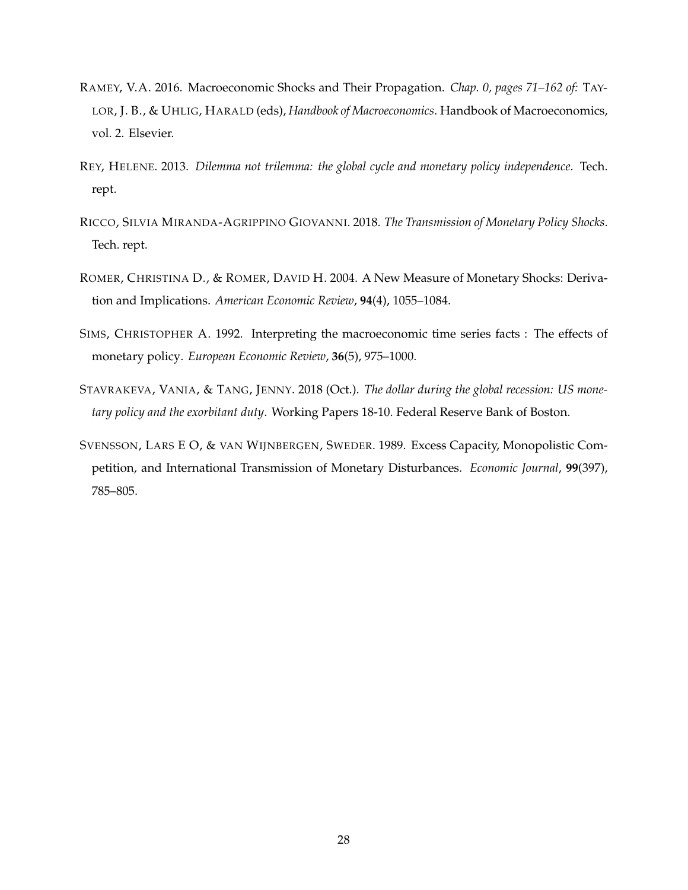- <span id="page-27-6"></span>RAMEY, V.A. 2016. Macroeconomic Shocks and Their Propagation. *Chap. 0, pages 71–162 of:* TAY-LOR, J. B., & UHLIG, HARALD (eds), *Handbook of Macroeconomics*. Handbook of Macroeconomics, vol. 2. Elsevier.
- <span id="page-27-4"></span>REY, HELENE. 2013. *Dilemma not trilemma: the global cycle and monetary policy independence*. Tech. rept.
- <span id="page-27-5"></span>RICCO, SILVIA MIRANDA-AGRIPPINO GIOVANNI. 2018. *The Transmission of Monetary Policy Shocks*. Tech. rept.
- <span id="page-27-0"></span>ROMER, CHRISTINA D., & ROMER, DAVID H. 2004. A New Measure of Monetary Shocks: Derivation and Implications. *American Economic Review*, **94**(4), 1055–1084.
- <span id="page-27-1"></span>SIMS, CHRISTOPHER A. 1992. Interpreting the macroeconomic time series facts : The effects of monetary policy. *European Economic Review*, **36**(5), 975–1000.
- <span id="page-27-3"></span>STAVRAKEVA, VANIA, & TANG, JENNY. 2018 (Oct.). *The dollar during the global recession: US monetary policy and the exorbitant duty*. Working Papers 18-10. Federal Reserve Bank of Boston.
- <span id="page-27-2"></span>SVENSSON, LARS E O, & VAN WIJNBERGEN, SWEDER. 1989. Excess Capacity, Monopolistic Competition, and International Transmission of Monetary Disturbances. *Economic Journal*, **99**(397), 785–805.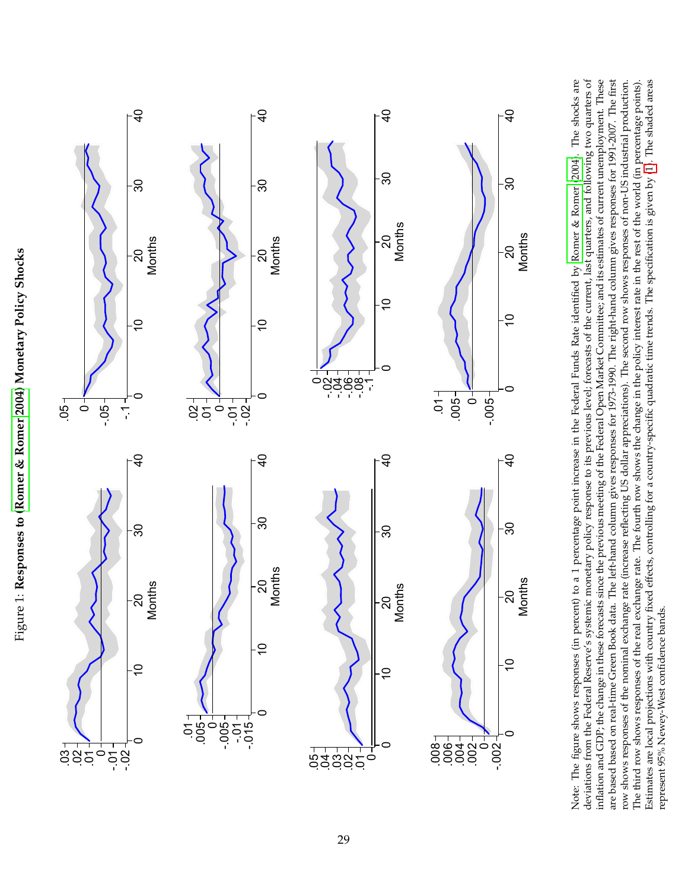<span id="page-28-0"></span>



-.002<br>
e figure de figure de figure de figure de figure de figure de figure de figure de figure de figure de f<br>
de figure de figure de figure de figure de figure de figure de figure de figure de figure de figure de figure<br> .002 -  $\begin{array}{|l|l|}\n 0.02 & 0.02 & 0.02 & 0.02 & 0.02 & 0.02 & 0.02 & 0.02 & 0.02 & 0.02 & 0.02 & 0.02 & 0.02 & 0.02 & 0.02 & 0.02 & 0.02 & 0.02 & 0.02 & 0.02 & 0.02 & 0.02 & 0.02 & 0.02 & 0.02 & 0.02 & 0.02 & 0.02 & 0.02 & 0.02 & 0.02 & 0.02 & 0.02 & 0.$ **Months**<br>
ent) to a<br>
mic mom<br>
sass since<br>
tha. The 1<br>
ge rate (<br>
scod eff<br>
fixed eff<br>
fixed eff  $-0.005$ <br> $e \text{ Fed}$ <br> $\text{red} \text{A}$ <br> $\text{Qpc}$ <br> $\text{d} \text{Opc}$ <br> $\text{d} \text{Opc}$ <br> $\text{d} \text{Opc}$ <br> $\text{d} \text{Opc}$ <br> $\text{d} \text{Opc}$ **Months**<br>y Romen<br>ast quart<br>estimate<br>mn gives<br>response<br>the rest of<br>the rest of continue Note: The figure shows responses (in percent) to a 1 percentage point increase in the Federal Funds Rate identified by [Romer](#page-27-0) & Romer [\(2004\)](#page-27-0). The shocks are deviations from the Federal Reserve's systemic monetary policy response to its previous level; forecasts of the current, last quarters, and following two quarters of inflation and GDP; the change in these forecasts since the previous meeting of the Federal Open Market Committee; and its estimates of current unemployment. These are based based on real-time Green Book data. The left-hand column gives responses for 1973-1990. The right-hand column gives responses for 1991-2007. The first row shows responses of the nominal exchange rate (increase reflecting US dollar appreciations). The second row shows responses of non-US industrial production. The third row shows responses of the real exchange rate. The fourth row shows the change in the policy interest rate in the rest of the world (in percentage points). Estimates are local projections with country fixed effects, controlling for a country-specific quadratic time trends. The specification is given by [\(1\)](#page-7-3). The shaded areas represent 95% Newey-West confidence bands.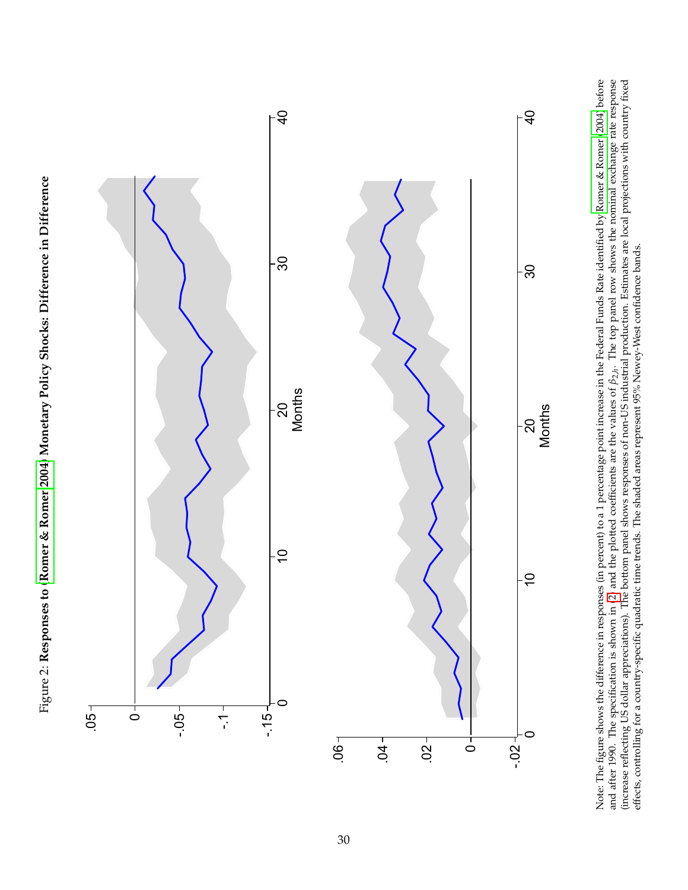<span id="page-29-0"></span>



Note: The figure shows the difference in responses (in percent) to a 1 percentage point increase in the Federal Funds Rate identified by Romer & [Romer](#page-27-0) [\(2004\)](#page-27-0) before and after 1990. The specification is shown in [\(2\)](#page-9-0) and the plotted coefficients are the values of *β*2,*h*. The top panel row shows the nominal exchange rate response (increase reflecting US dollar appreciations). The bottom panel shows responses of non-US industrial production. Estimates are local projections with country fixed effects, controlling for a country-specific quadratic time trends. The shaded areas represent 95% Newey-West confidence bands.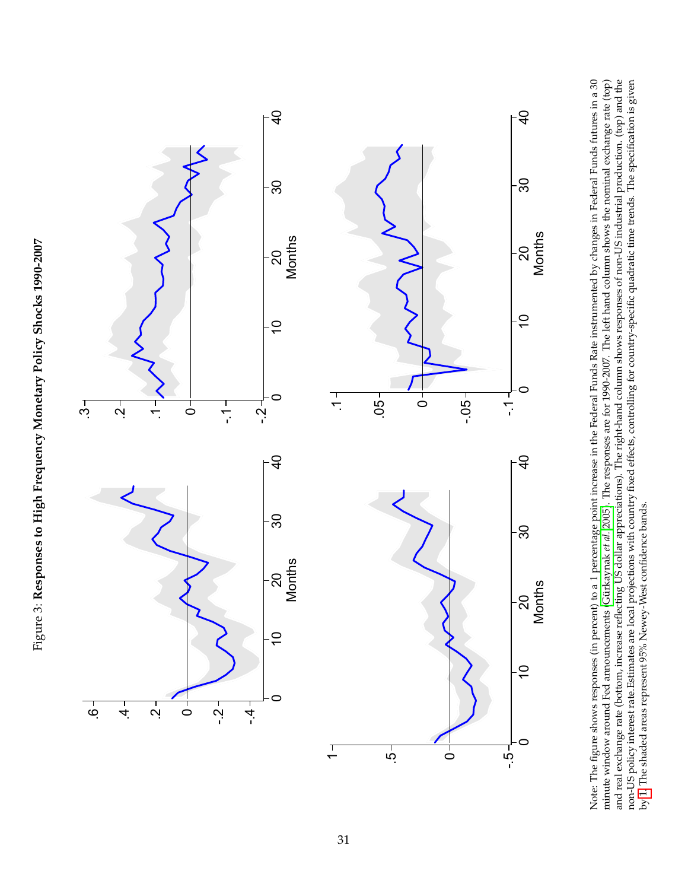<span id="page-30-0"></span>



**Months**<br>
eent) to a<br>
rest (Gürks<br>
eflecting I<br>
coal proje<br>
wey-West<br>
wey-West **Months<br>by changes by changes**<br>time abow<br>non-US ir<br>dratic time Note: The figure shows responses (in percent) to a 1 percentage point increase in the Federal Funds Rate instrumented by changes in Federal Funds futures in a 30 minute window around Fed announcements [\(Gürkaynak](#page-25-0) *et al.* [2005\)](#page-25-0). The responses are for 1990-2007. The left hand column shows the nominal exchange rate (top) and real exchange rate (bottom, increase reflecting US dollar appreciations). The right-hand column shows responses of non-US industrial production. (top) and the non-US policy interest rate.Estimates are local projections with country fixed effects, controlling for country-specific quadratic time trends. The specification is given by [1.](#page-7-3) The shaded areas represent 95% Newey-West confidence bands.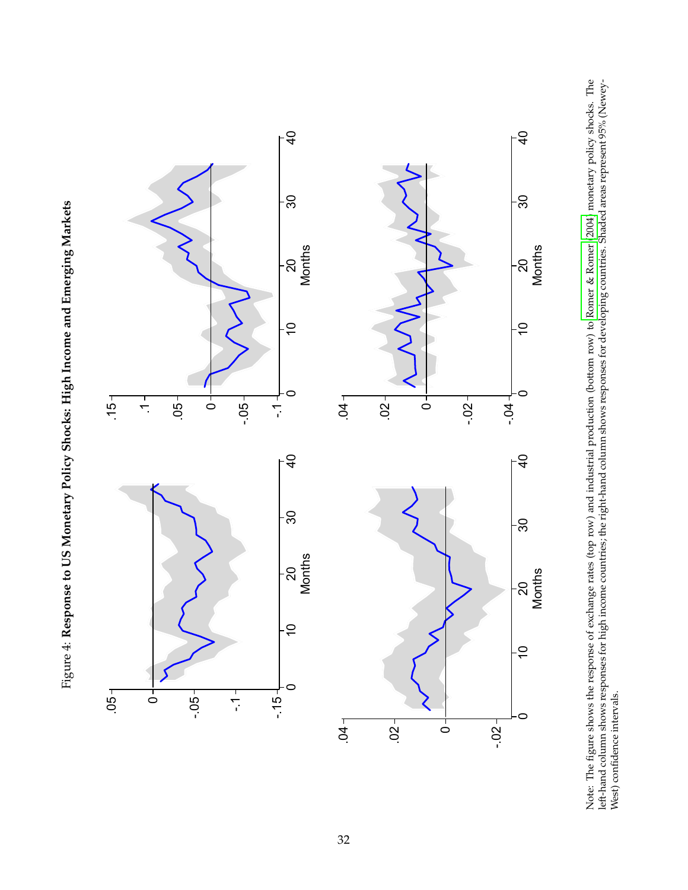

<span id="page-31-0"></span>

Note: The figure shows the response of exchange rates (top row) and industrial production (bottom row) to [Romer](#page-27-0) & Romer [\(2004\)](#page-27-0) monetary policy shocks. The left-hand column shows responses for high income countries; the right-hand column shows responses for developing countries. Shaded areas represent 95% (Newey-West) confidence intervals.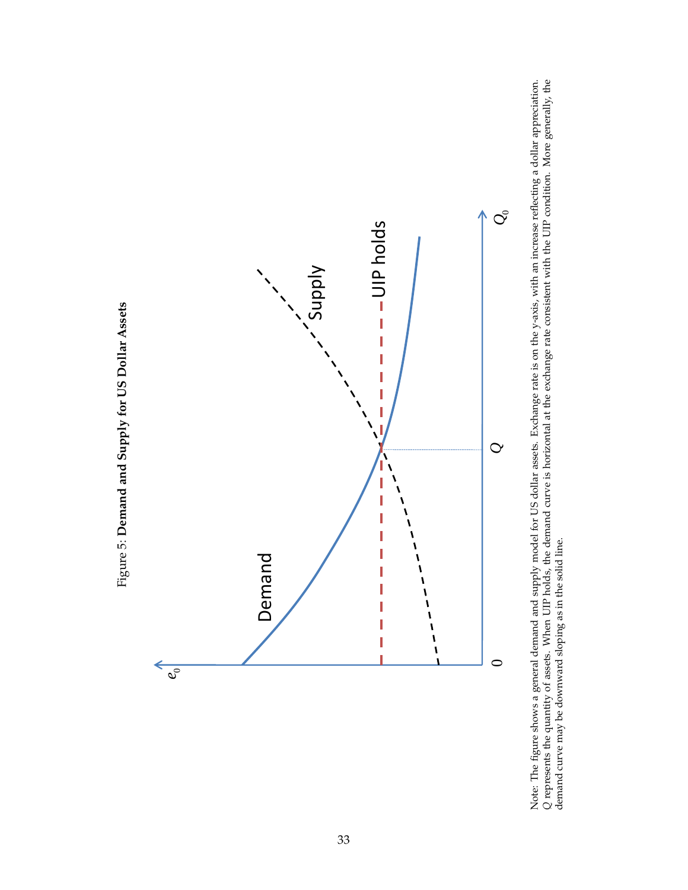

Note: The figure shows a general demand and supply model for US dollar assets. Exchange rate is on the y-axis, with an increase reflecting a dollar appreciation. *Q*Q represents the quantity of assets. When UIP holds, the demand curve is horizontal at the exchange rate consistent with the UIP condition. More generally, the consistent with the UIP condition. More generally, the conditi demand curve may be downward sloping as in the solid line.

<span id="page-32-0"></span>Figure 5: Demand and Supply for US Dollar Assets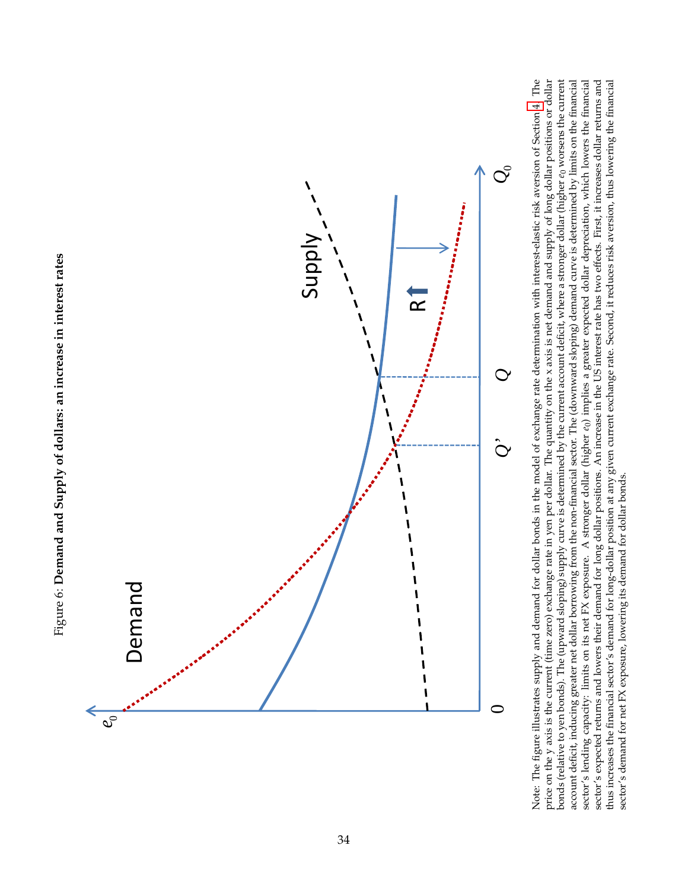



<span id="page-33-0"></span>Note: The figure illustrates supply and demand for dollar bonds in the model of exchange rate determination with interest-elastic risk aversion of Section 4. The price on the y axis is the current (time zero) exchange rate in yen per dollar. The quantity on the x axis is net demand and supply of long dollar positions or dollar sector's lending capacity: limits on its net FX exposure. A stronger dollar (higher eo) implies a greater expected dollar depreciation, which lowers the financial bonds (relative to yen bonds). The (upward sloping) supply curve is determined by the current account deficit, where a stronger dollar (higher  $e_0$  worsens the current account deficit, inducing greater net dollar borrowing from the non-financial sector. The (downward sloping) demand curve is determined by limits on the financial sector's expected returns and lowers their demand for long dollar positions. An increase in the US interest rate has two effects. First, it increases dollar returns and thus increases the financial sector's demand for long-dollar position at any given current exchange rate. Second, it reduces risk aversion, thus lowering the financial Note: The figure illustrates supply and demand for dollar bonds in the model of exchange rate determination with interest-elastic risk aversion of Section [4.](#page-13-0) The price on the y axis is the current (time zero) exchange rate in yen per dollar. The quantity on the x axis is net demand and supply of long dollar positions or dollar bonds (relative to yen bonds). The (upward sloping) supply curve is determined by the current account deficit, where a stronger dollar (higher *e*0 worsens the current account deficit, inducing greater net dollar borrowing from the non-financial sector. The (downward sloping) demand curve is determined by limits on the financial sector's lending capacity: limits on its net FX exposure. A stronger dollar (higher *e*0) implies a greater expected dollar depreciation, which lowers the financial sector's expected returns and lowers their demand for long dollar positions. An increase in the US interest rate has two effects. First, it increases dollar returns and thus increases the financial sector's demand for long-dollar position at any given current exchange rate. Second, it reduces risk aversion, thus lowering the financial sector's demand for net FX exposure, lowering its demand for dollar bonds. sector's demand for net FX exposure, lowering its demand for dollar bonds.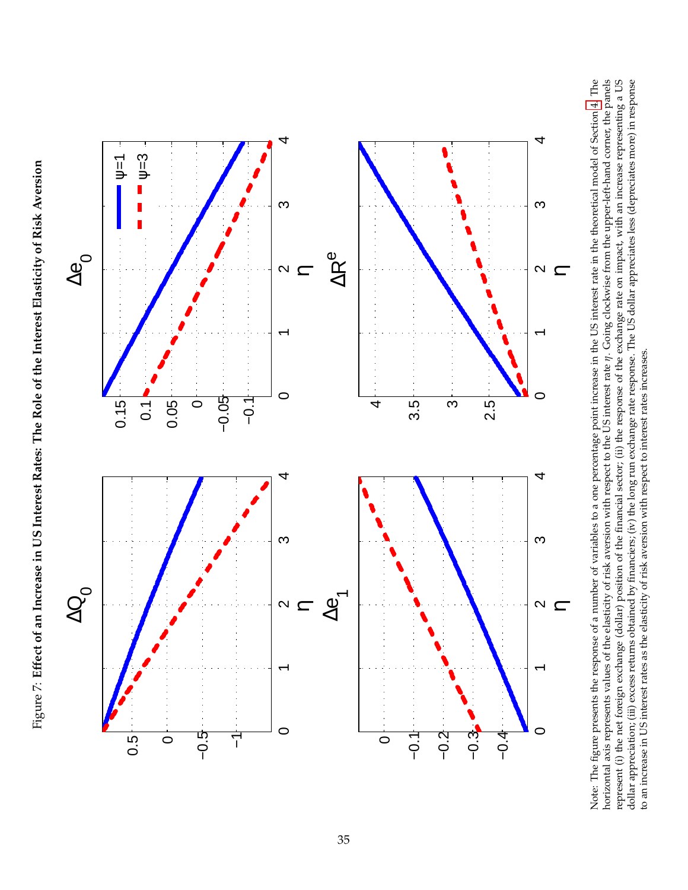Figure 7: Effect of an Increase in US Interest Rates: The Role of the Interest Elasticity of Risk Aversion Figure 7: Effect of an Increase in US Interest Rates: The Role of the Interest Elasticity of Risk Aversion

<span id="page-34-0"></span>

Note: The figure presents the response of a number of variables to a one percentage point increase in the US interest rate in the theoretical model of Section 4. The horizontal axis represents values of the elasticity of risk aversion with respect to the US interest rate  $\eta$ . Going clockwise from the upper-left-hand corner, the panels represent (i) the net foreign exchange (dollar) position of the financial sector; (ii) the response of the exchange rate on impact, with an increase representing a US dollar appreciation; (iii) excess returns obtained by f Note: The figure presents the response of a number of variables to a one percentage point increase in the US interest rate in the theoretical model of Section [4.](#page-13-0) The horizontal axis represents values of the elasticity of risk aversion with respect to the US interest rate *η*. Going clockwise from the upper-left-hand corner, the panels represent (i) the net foreign exchange (dollar) position of the financial sector; (ii) the response of the exchange rate on impact, with an increase representing a US dollar appreciation; (iii) excess returns obtained by financiers; (iv) the long run exchange rate response. The US dollar appreciates less (depreciates more) in response to an increase in US interest rates as the elasticity of risk aversion with respect to interest rates increases. to an increase in US interest rates as the elasticity of risk aversion with respect to interest rates increases.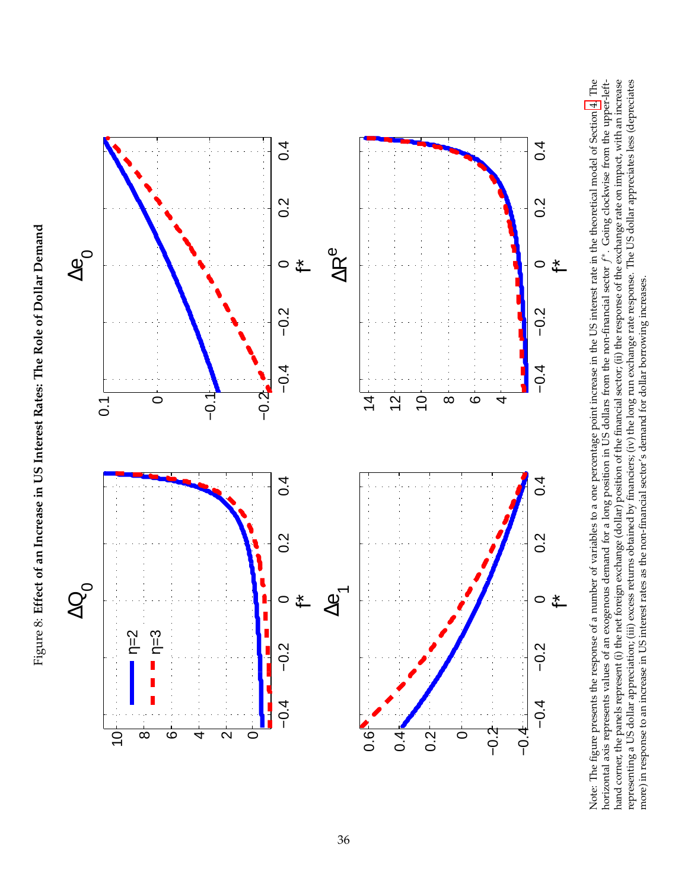<span id="page-35-0"></span>

Note: The figure presents the response of a number of variables to a one percentage point increase in the US interest rate in the theoretical model of Section 4. The horizontal axis represents values of an exogenous demand for a long position in US dollars from the non-financial sector  $f^*$ . Going clockwise from the upper-lefthand corner, the panels represent (i) the net foreign exchange (dollar) position of the financial sector; (ii) the response of the exchange rate on impact, with an increase representing a US dollar appreciation; (iii) excess returns obtained by financiers; (iv) the long run exchange rate response. The US dollar appreciates less (depreciates Note: The figure presents the response of a number of variables to a one percentage point increase in the US interest rate in the theoretical model of Section [4.](#page-13-0) The horizontal axis represents values of an exogenous demand for a long position in US dollars from the non-financial sector *f* ∗. Going clockwise from the upper-lefthand corner, the panels represent (i) the net foreign exchange (dollar) position of the financial sector; (ii) the response of the exchange rate on impact, with an increase representing a US dollar appreciation; (iii) excess returns obtained by financiers; (iv) the long run exchange rate response. The US dollar appreciates less (depreciates more) in response to an increase in US interest rates as the non-financial sector's demand for dollar borrowing increases. more) in response to an increase in US interest rates as the non-financial sector's demand for dollar borrowing increases.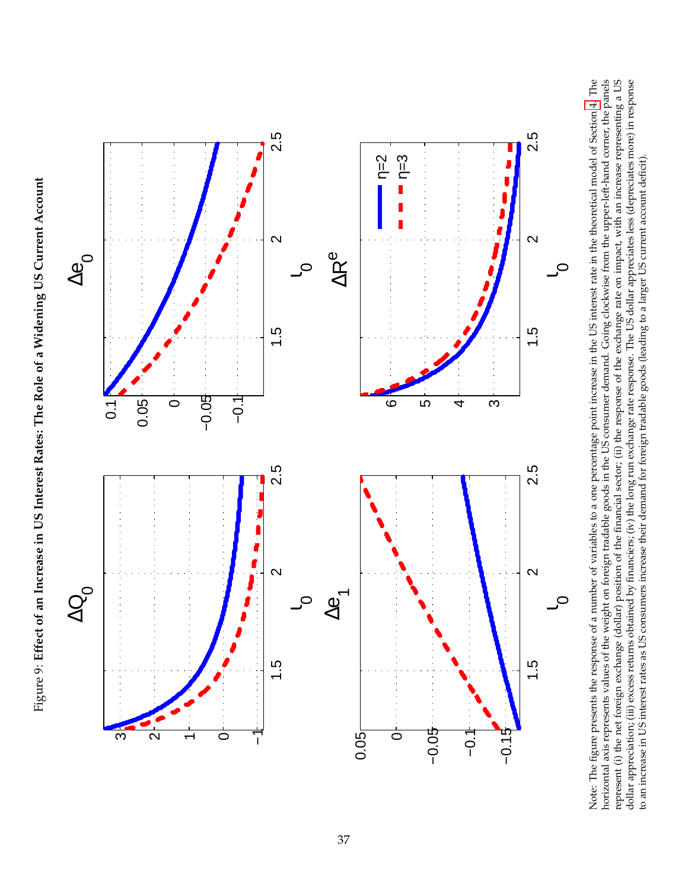<span id="page-36-0"></span>Figure 9: Effect of an Increase in US Interest Rates: The Role of a Widening US Current Account Figure 9: Effect of an Increase in US Interest Rates: The Role of a Widening US Current Account



Note: The figure presents the response of a number of variables to a one percentage point increase in the US interest rate in the theoretical model of Section 4. The horizontal axis represents values of the weight on foreign tradable goods in the US consumer demand. Going clockwise from the upper-left-hand corner, the panels represent (i) the net foreign exchange (dollar) position of the financial sector; (ii) the response of the exchange rate on impact, with an increase representing a US dollar appreciation; (iii) excess returns obtained by financiers; (iv) the long run exchange rate response. The US dollar appreciates less (depreciates more) in response Note: The figure presents the response of a number of variables to a one percentage point increase in the US interest rate in the theoretical model of Section [4.](#page-13-0) The horizontal axis represents values of the weight on foreign tradable goods in the US consumer demand. Going clockwise from the upper-left-hand corner, the panels represent (i) the net foreign exchange (dollar) position of the financial sector; (ii) the response of the exchange rate on impact, with an increase representing a US dollar appreciation; (iii) excess returns obtained by financiers; (iv) the long run exchange rate response. The US dollar appreciates less (depreciates more) in response to an increase in US interest rates as US consumers increase their demand for foreign tradable goods (leading to a larger US current account deficit). to an increase in US interest rates as US consumers increase their demand for foreign tradable goods (leading to a larger US current account deficit).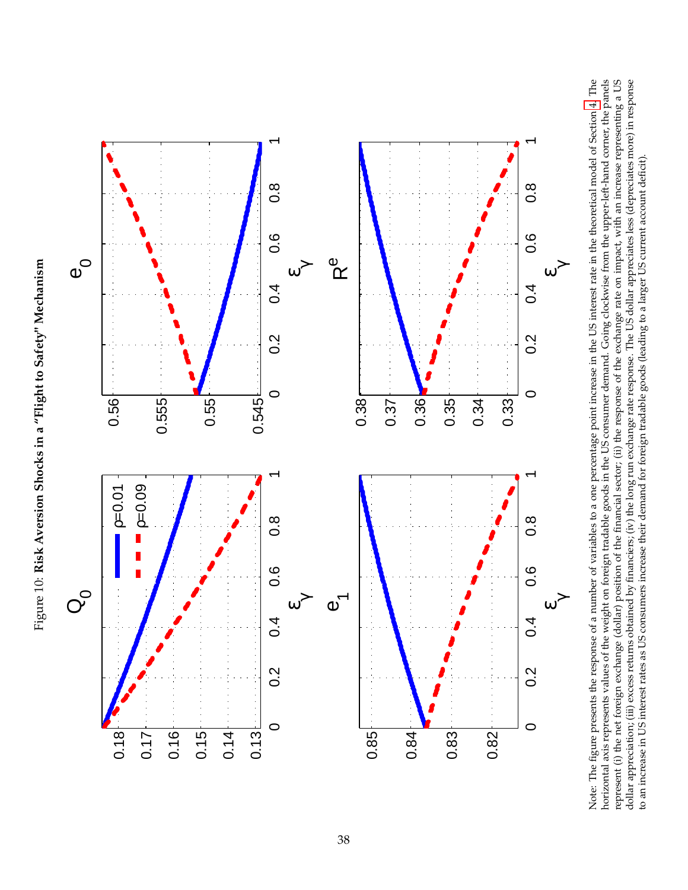<span id="page-37-0"></span>Figure 10: Risk Aversion Shocks in a "Flight to Safety" Mechanism Figure 10: **Risk Aversion Shocks in a "Flight to Safety" Mechanism**



Note: The figure presents the response of a number of variables to a one percentage point increase in the US interest rate in the theoretical model of Section 4. The horizontal axis represents values of the weight on foreign tradable goods in the US consumer demand. Going clockwise from the upper-left-hand corner, the panels represent (i) the net foreign exchange (dollar) position of the financial sector; (ii) the response of the exchange rate on impact, with an increase representing a US dollar appreciation; (iii) excess returns obtained by financiers; (iv) the long run exchange rate response. The US dollar appreciates less (depreciates more) in response Note: The figure presents the response of a number of variables to a one percentage point increase in the US interest rate in the theoretical model of Section [4.](#page-13-0) The horizontal axis represents values of the weight on foreign tradable goods in the US consumer demand. Going clockwise from the upper-left-hand corner, the panels represent (i) the net foreign exchange (dollar) position of the financial sector; (ii) the response of the exchange rate on impact, with an increase representing a US dollar appreciation; (iii) excess returns obtained by financiers; (iv) the long run exchange rate response. The US dollar appreciates less (depreciates more) in response to an increase in US interest rates as US consumers increase their demand for foreign tradable goods (leading to a larger US current account deficit). to an increase in US interest rates as US consumers increase their demand for foreign tradable goods (leading to a larger US current account deficit).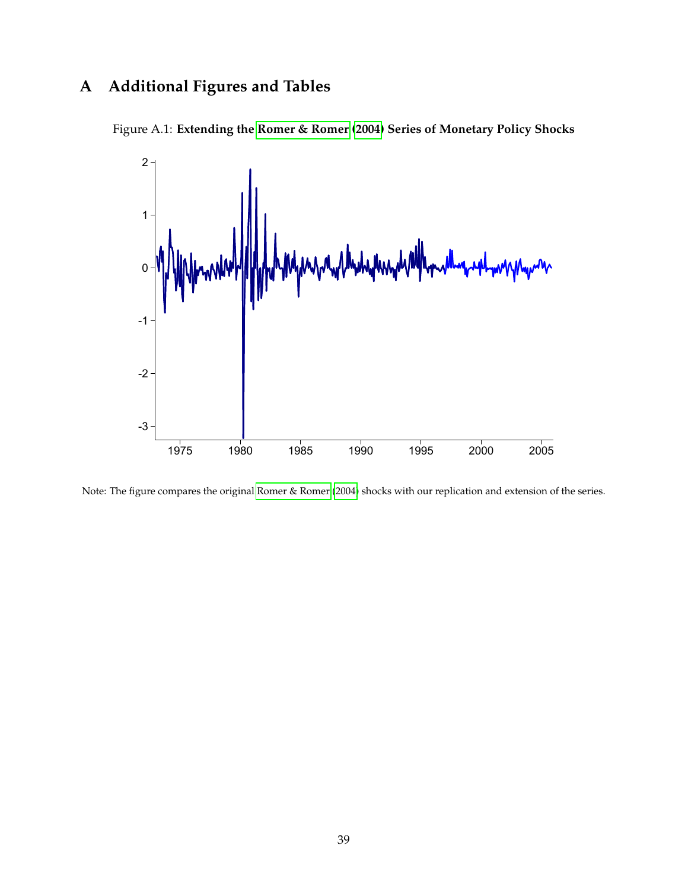## **A Additional Figures and Tables**

<span id="page-38-0"></span>



Note: The figure compares the original [Romer & Romer](#page-27-0) [\(2004\)](#page-27-0) shocks with our replication and extension of the series.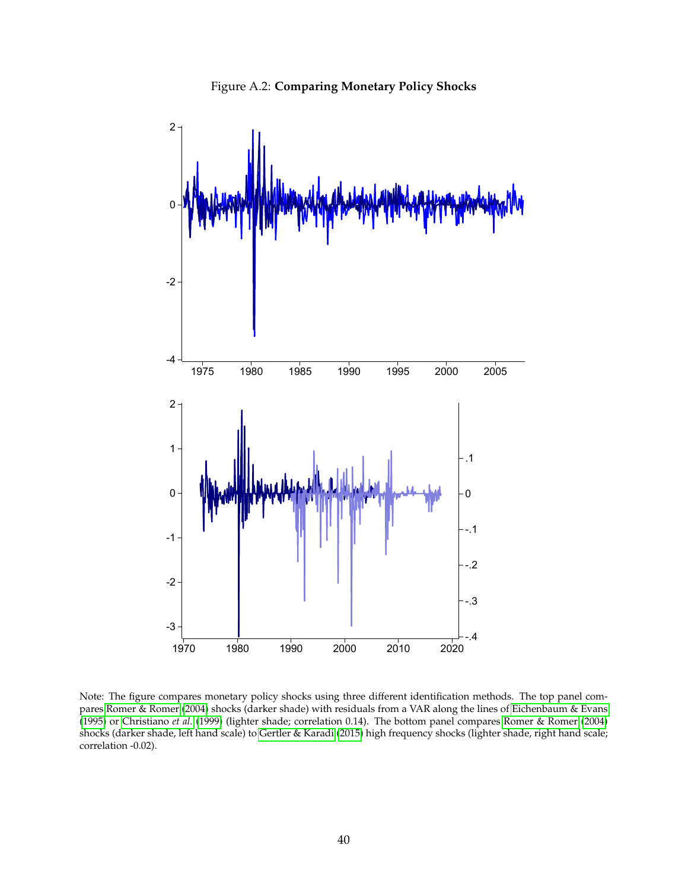

<span id="page-39-0"></span>

Note: The figure compares monetary policy shocks using three different identification methods. The top panel compares [Romer & Romer](#page-27-0) [\(2004\)](#page-27-0) shocks (darker shade) with residuals from a VAR along the lines of [Eichenbaum & Evans](#page-25-2) [\(1995\)](#page-25-2) or [Christiano](#page-25-3) *et al.* [\(1999\)](#page-25-3) (lighter shade; correlation 0.14). The bottom panel compares [Romer & Romer](#page-27-0) [\(2004\)](#page-27-0) shocks (darker shade, left hand scale) to [Gertler & Karadi](#page-25-1) [\(2015\)](#page-25-1) high frequency shocks (lighter shade, right hand scale; correlation -0.02).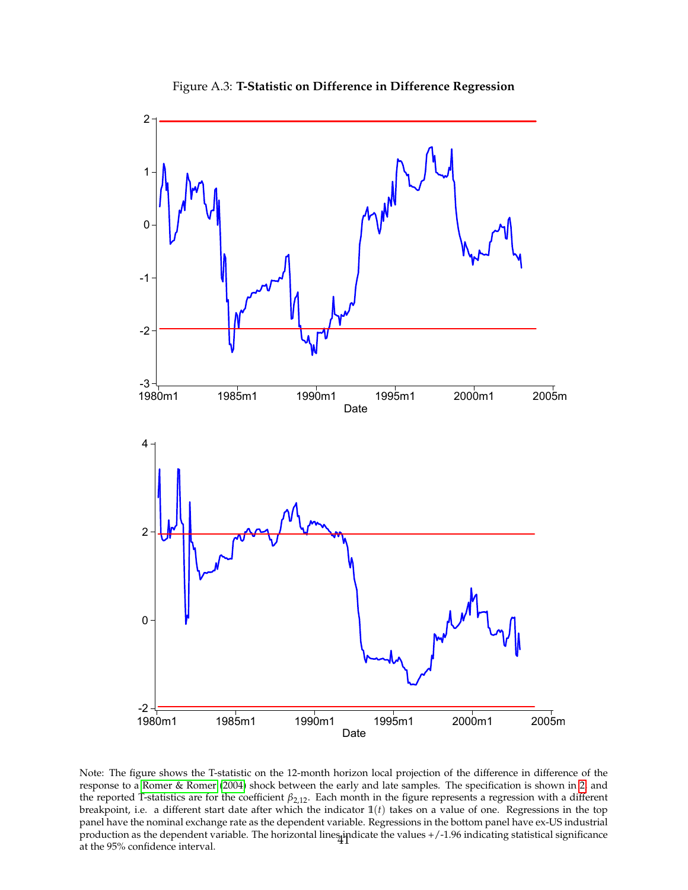<span id="page-40-0"></span>

Figure A.3: **T-Statistic on Difference in Difference Regression**

Note: The figure shows the T-statistic on the 12-month horizon local projection of the difference in difference of the response to a [Romer & Romer](#page-27-0) [\(2004\)](#page-27-0) shock between the early and late samples. The specification is shown in [2,](#page-9-0) and the reported T-statistics are for the coefficient *β*2,12. Each month in the figure represents a regression with a different breakpoint, i.e. a different start date after which the indicator **1**(*t*) takes on a value of one. Regressions in the top panel have the nominal exchange rate as the dependent variable. Regressions in the bottom panel have ex-US industrial production as the dependent variable. The horizontal lines jndicate the values +/-1.96 indicating statistical significance<br>at the 95% confidence interval.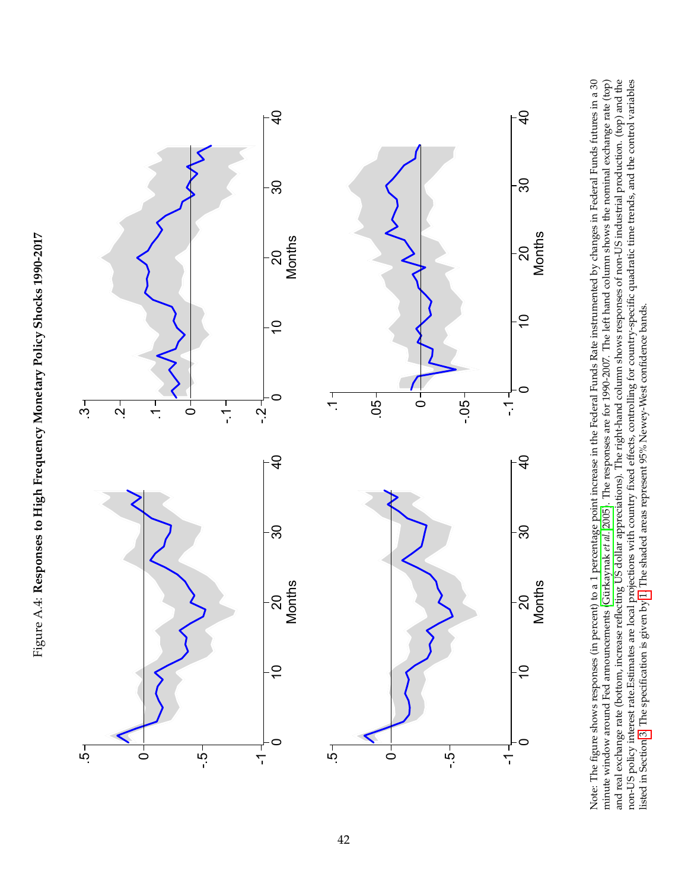

<span id="page-41-0"></span>

**Months**<br>
eent) to a<br>
eent (Gürks<br>
eflecting I<br>
ocal proje<br>
ocal proje<br>
en by 1. T.<br>
en by 1. T. **Months<br>by changes of the Source School**<br>time show<br>dratic time<br>dratic time Note: The figure shows responses (in percent) to a 1 percentage point increase in the Federal Funds Rate instrumented by changes in Federal Funds futures in a 30 minute window around Fed announcements [\(Gürkaynak](#page-25-0) *et al.* [2005\)](#page-25-0). The responses are for 1990-2007. The left hand column shows the nominal exchange rate (top) and real exchange rate (bottom, increase reflecting US dollar appreciations). The right-hand column shows responses of non-US industrial production. (top) and the non-US policy interest rate.Estimates are local projections with country fixed effects, controlling for country-specific quadratic time trends, and the control variables listed in Section [3.](#page-11-2) The specification is given by [1.](#page-7-3) The shaded areas represent 95% Newey-West confidence bands.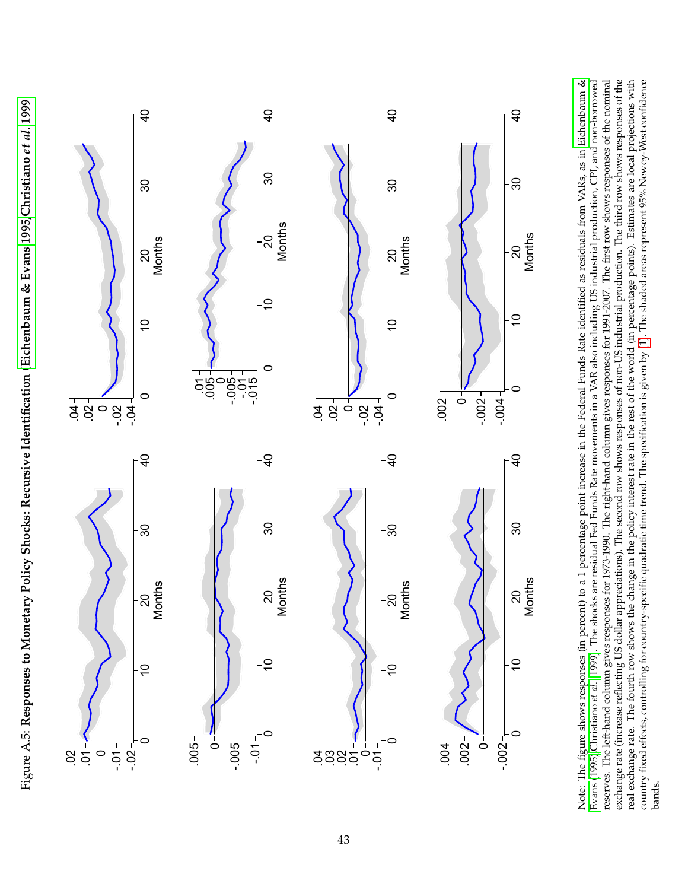

<span id="page-42-0"></span>

**Months**<br>
mth to a<br>
ocks are<br>
ness for<br>
appreciace<br>
the changendic **Months**<br>residuals<br>ustrial pi<br>e first ro<br>tion. The<br>cionsb. E<br>ceas repro Note: The figure shows responses (in percent) to a 1 percentage point increase in the Federal Funds Rate identified as residuals from VARs, as in [Eichenbaum](#page-25-2) & [Evans](#page-25-2) [\(1995\)](#page-25-2)[,Christiano](#page-25-3) *et al.* [\(1999\)](#page-25-3). The shocks are residual Fed Funds Rate movements in a VAR also including US industrial production, CPI, and non-borrowed reserves. The left-hand column gives responses for 1973-1990. The right-hand column gives responses for 1991-2007. The first row shows responses of the nominal exchange rate (increase reflecting US dollar appreciations). The second row shows responses of non-US industrial production. The third row shows responses of the real exchange rate. The fourth row shows the change in the policy interest rate in the rest of the world (in percentage points). Estimates are local projections with country fixed effects, controlling for country-specific quadratic time trend. The specification is given by [\(1\)](#page-7-3). The shaded areas represent 95% Newey-West confidence bands.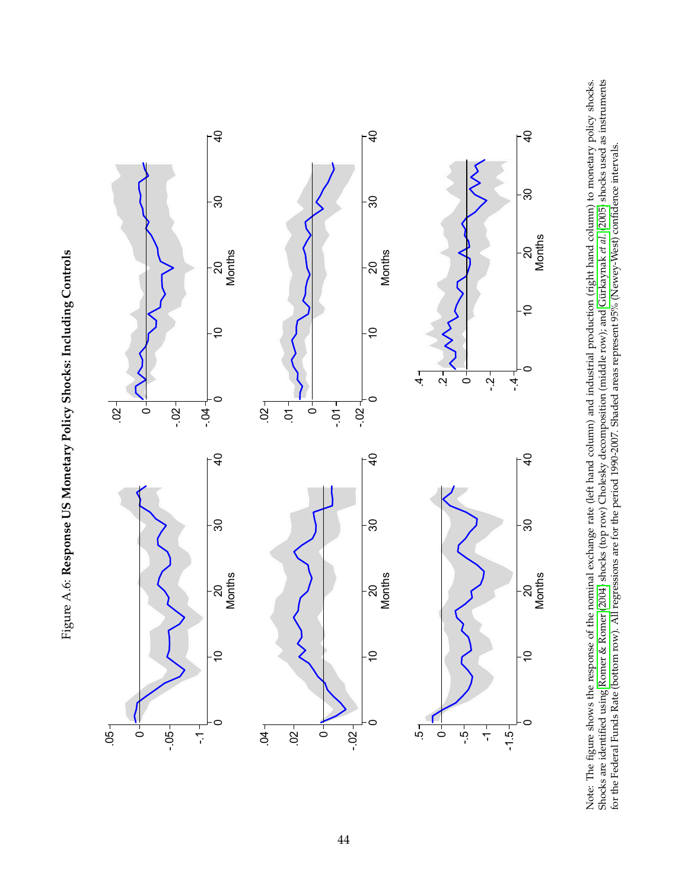<span id="page-43-0"></span>Figure A.6: Response US Monetary Policy Shocks: Including Controls Figure A.6: **Response US Monetary Policy Shocks: Including Controls**



Months<br>nominal<br>2004) sh<br>regressia<br>regressia Months<br>hand co<br>hak *et al.*<br>y-West)<br>y-West) Note: The figure shows the response of the nominal exchange rate (left hand column) and industrial production (right hand column) to monetary policy shocks. Shocks are identified using [Romer](#page-27-0) & Romer [\(2004\)](#page-27-0) shocks (top row) Cholesky decomposition (middle row); and [Gürkaynak](#page-25-0) *et al.* [\(2005\)](#page-25-0) shocks used as instruments for the Federal Funds Rate (bottom row). All regressions are for the period 1990-2007. Shaded areas represent 95% (Newey-West) confidence intervals.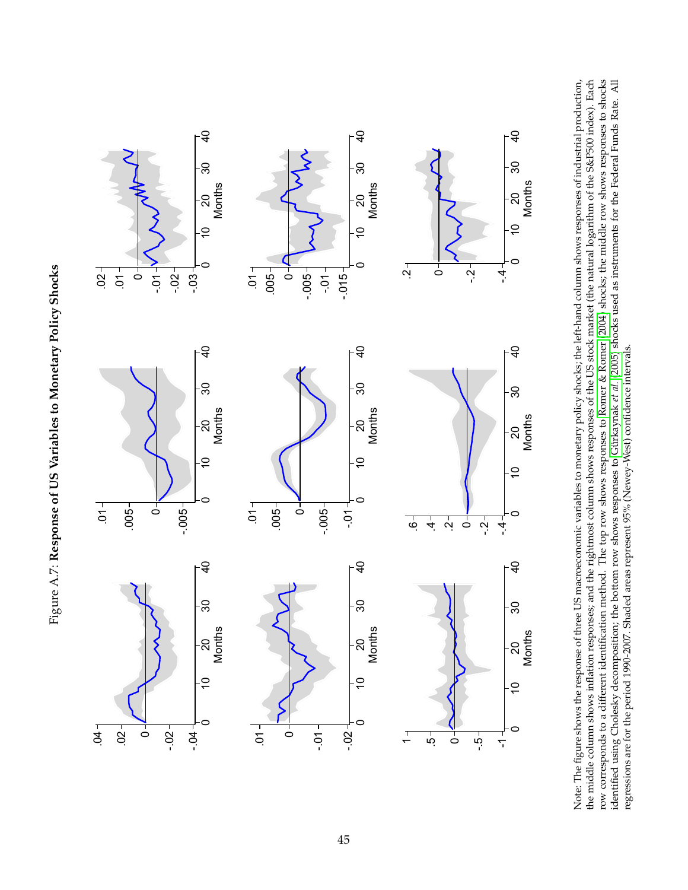<span id="page-44-0"></span>



Months<br>me of the contractor<br>on respection<br>dentifica<br>position<br>90-2007. Months<br>
etary pc<br>
esponse<br>
esponse<br>
sit confirm<br>
sit confirm<br>
sit confirm<br>
sit confirm<br>
sit confirm<br>
sit confirm<br>
sit confirm<br>
sit confirm<br>
sit confirm<br>
sit confirm<br>
sit confirm<br>
sit confirm<br>
sit confirm<br>
sit confirm<br>
sit Months<br>
onses of<br>
conses of the field<br>
over the Field<br>
or the Field Note: The figure shows the response of three US macroeconomic variables to monetary policy shocks; the left-hand column shows responses of industrial production, the middle column shows inflation responses; and the rightmost column shows responses of the US stock market (the natural logarithm of the S&P500 index). Each row corresponds to a different identification method. The top row shows responses to [Romer](#page-27-0) & Romer [\(2004\)](#page-27-0) shocks; the middle row shows responses to shocks identified using Cholesky decomposition; the bottom row shows responses to [Gürkaynak](#page-25-0) *et al.* [\(2005\)](#page-25-0) shocks used as instruments for the Federal Funds Rate. All regressions are for the period 1990-2007. Shaded areas represent 95% (Newey-West) confidence intervals.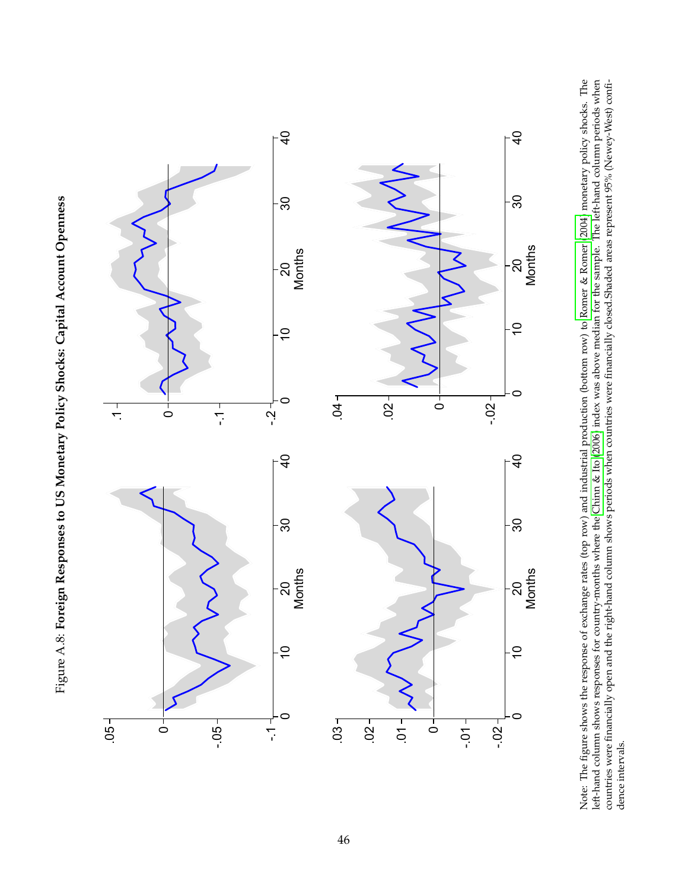<span id="page-45-0"></span>



**Months<br>ange rate<br>specified continues**<br>thand color<br>thand color **Months<br>& Romer<br>example.**<br>aded area<br>aded area Note: The figure shows the response of exchange rates (top row) and industrial production (bottom row) to [Romer](#page-27-0) & Romer [\(2004\)](#page-27-0) monetary policy shocks. The left-hand column shows responses for country-months where the [Chinn](#page-24-6) & Ito [\(2006\)](#page-24-6) index was above median for the sample. The left-hand column periods when countries were financially open and the right-hand column shows periods when countries were financially closed.Shaded areas represent 95% (Newey-West) confidence intervals.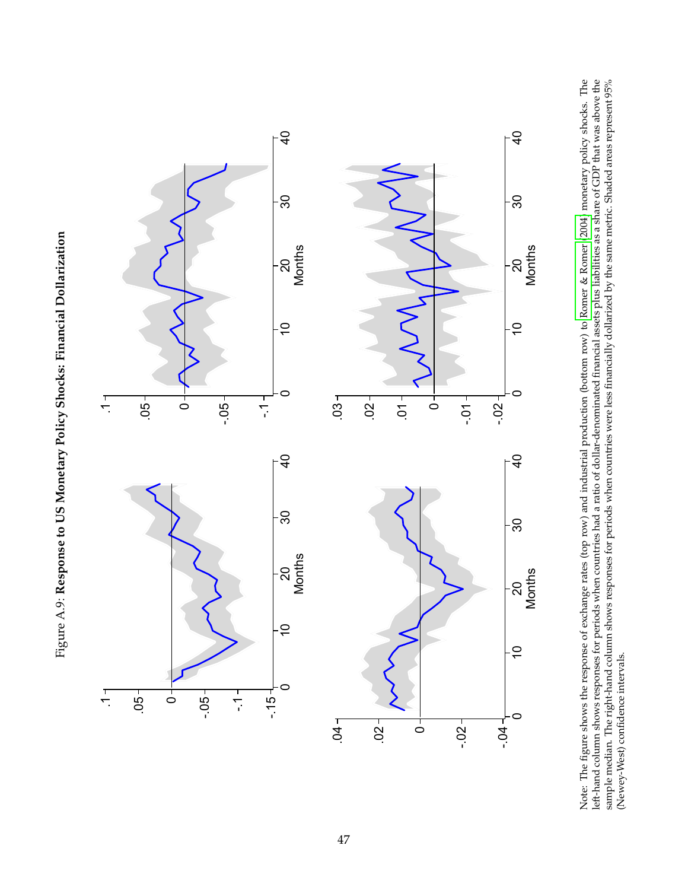<span id="page-46-0"></span>



**Months<br>ange rate<br>s when conservances**<br>s responsers **Months<br>& Romer<br>isabilities<br>y the sam<br>y the sam** Note: The figure shows the response of exchange rates (top row) and industrial production (bottom row) to [Romer](#page-27-0) & Romer [\(2004\)](#page-27-0) monetary policy shocks. The left-hand column shows responses for periods when countries had a ratio of dollar-denominated financial assets plus liabilities as a share of GDP that was above the sample median. The right-hand column shows responses for periods when countries were less financially dollarized by the same metric. Shaded areas represent 95%<br>ATALLAREA ACCERTA (Newey-West) confidence intervals.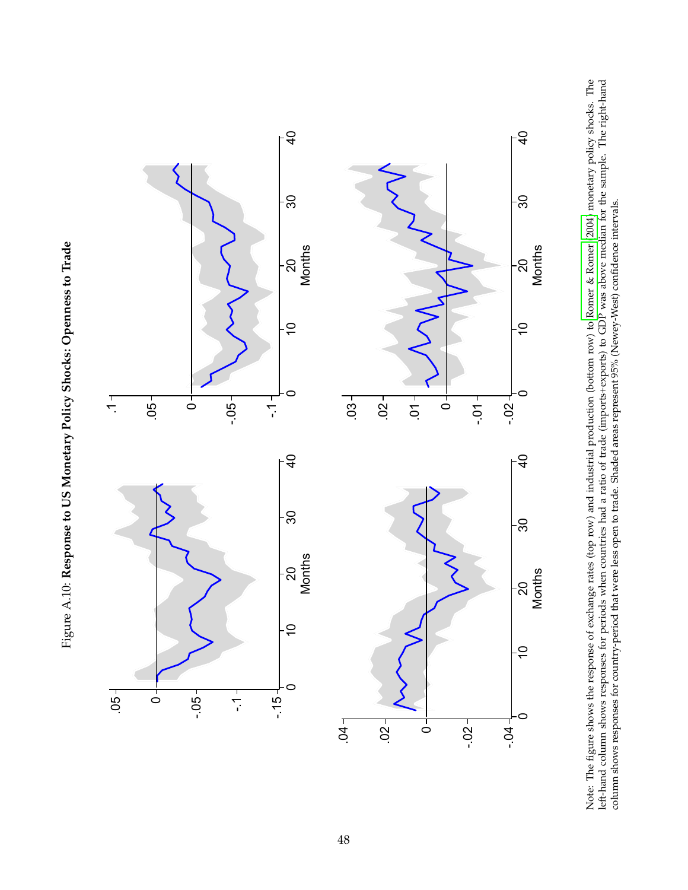<span id="page-47-0"></span>



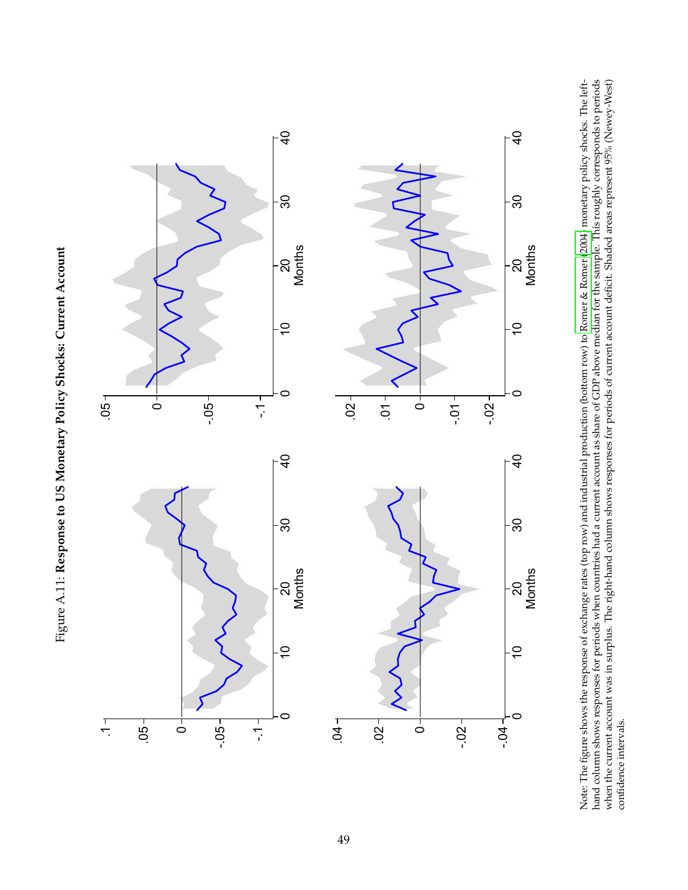

<span id="page-48-0"></span>

**Months<br>nge rates<br>nge rates<br>e right-ha**<br>e right-ha **Months<br>Romer (2)<br>e sample.<br>cit. Shade** Note: The figure shows the response of exchange rates (top row) and industrial production (bottom row) to [Romer](#page-27-0) & Romer [\(2004\)](#page-27-0) monetary policy shocks. The lefthand column shows responses for periods when countries had a current account as share of GDP above median for the sample. This roughly corresponds to periods when the current account was in surplus. The right-hand column shows responses for periods of current account deficit. Shaded areas represent 95% (Newey-West) confidence intervals.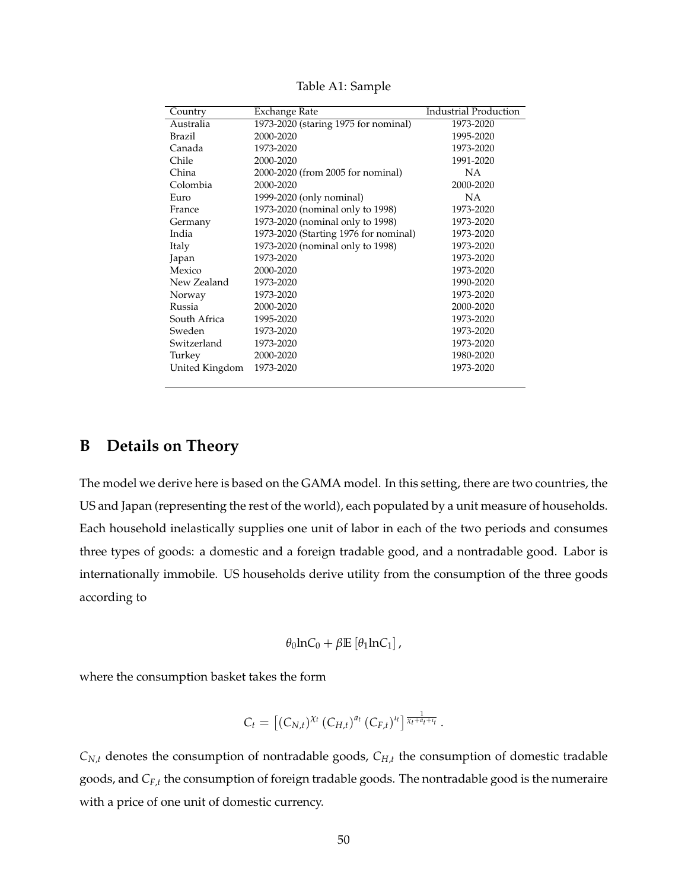<span id="page-49-0"></span>

| Country        | Exchange Rate                         | <b>Industrial Production</b> |
|----------------|---------------------------------------|------------------------------|
| Australia      | 1973-2020 (staring 1975 for nominal)  | 1973-2020                    |
| Brazil         | 2000-2020                             | 1995-2020                    |
| Canada         | 1973-2020                             | 1973-2020                    |
| Chile          | 2000-2020                             | 1991-2020                    |
| China          | 2000-2020 (from 2005 for nominal)     | NА                           |
| Colombia       | 2000-2020                             | 2000-2020                    |
| Euro           | 1999-2020 (only nominal)              | NA                           |
| France         | 1973-2020 (nominal only to 1998)      | 1973-2020                    |
| Germany        | 1973-2020 (nominal only to 1998)      | 1973-2020                    |
| India          | 1973-2020 (Starting 1976 for nominal) | 1973-2020                    |
| Italy          | 1973-2020 (nominal only to 1998)      | 1973-2020                    |
| Japan          | 1973-2020                             | 1973-2020                    |
| Mexico         | 2000-2020                             | 1973-2020                    |
| New Zealand    | 1973-2020                             | 1990-2020                    |
| Norway         | 1973-2020                             | 1973-2020                    |
| Russia         | 2000-2020                             | 2000-2020                    |
| South Africa   | 1995-2020                             | 1973-2020                    |
| Sweden         | 1973-2020                             | 1973-2020                    |
| Switzerland    | 1973-2020                             | 1973-2020                    |
| Turkey         | 2000-2020                             | 1980-2020                    |
| United Kingdom | 1973-2020                             | 1973-2020                    |

Table A1: Sample

## <span id="page-49-1"></span>**B Details on Theory**

The model we derive here is based on the GAMA model. In this setting, there are two countries, the US and Japan (representing the rest of the world), each populated by a unit measure of households. Each household inelastically supplies one unit of labor in each of the two periods and consumes three types of goods: a domestic and a foreign tradable good, and a nontradable good. Labor is internationally immobile. US households derive utility from the consumption of the three goods according to

$$
\theta_0 \text{ln} C_0 + \beta \mathbb{E} \left[ \theta_1 \text{ln} C_1 \right],
$$

where the consumption basket takes the form

$$
C_t = [(C_{N,t})^{\chi_t} (C_{H,t})^{a_t} (C_{F,t})^{u_t}]^{\frac{1}{\chi_t + a_t + u_t}}.
$$

 $C_{N,t}$  denotes the consumption of nontradable goods,  $C_{H,t}$  the consumption of domestic tradable goods, and *CF*,*<sup>t</sup>* the consumption of foreign tradable goods. The nontradable good is the numeraire with a price of one unit of domestic currency.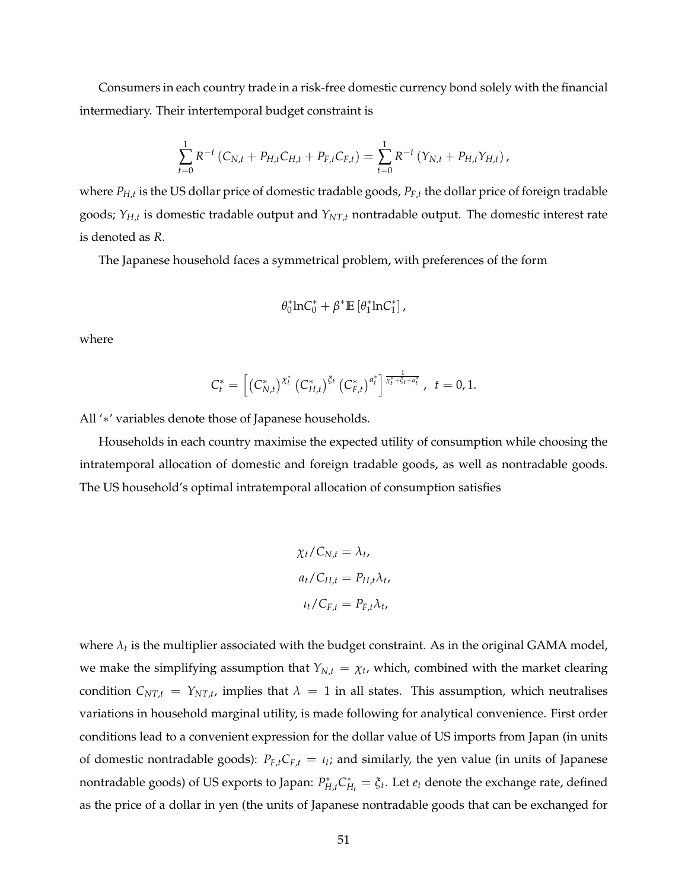Consumers in each country trade in a risk-free domestic currency bond solely with the financial intermediary. Their intertemporal budget constraint is

$$
\sum_{t=0}^{1} R^{-t} (C_{N,t} + P_{H,t} C_{H,t} + P_{F,t} C_{F,t}) = \sum_{t=0}^{1} R^{-t} (Y_{N,t} + P_{H,t} Y_{H,t}),
$$

where *PH*,*<sup>t</sup>* is the US dollar price of domestic tradable goods, *PF*,*<sup>t</sup>* the dollar price of foreign tradable goods; *YH*,*<sup>t</sup>* is domestic tradable output and *YNT*,*<sup>t</sup>* nontradable output. The domestic interest rate is denoted as *R*.

The Japanese household faces a symmetrical problem, with preferences of the form

$$
\theta_0^*lnC_0^*+\beta^* \mathbb{E}\left[\theta_1^*lnC_1^*\right],
$$

where

$$
C_t^* = \left[ \left( C_{N,t}^* \right)^{\chi_t^*} \left( C_{H,t}^* \right)^{\xi_t} \left( C_{F,t}^* \right)^{a_t^*} \right]^{\frac{1}{\chi_t^* + \xi_t + a_t^*}}, \quad t = 0, 1.
$$

All '∗' variables denote those of Japanese households.

Households in each country maximise the expected utility of consumption while choosing the intratemporal allocation of domestic and foreign tradable goods, as well as nontradable goods. The US household's optimal intratemporal allocation of consumption satisfies

$$
\chi_t / C_{N,t} = \lambda_t,
$$
  
\n
$$
a_t / C_{H,t} = P_{H,t} \lambda_t,
$$
  
\n
$$
\iota_t / C_{F,t} = P_{F,t} \lambda_t,
$$

where  $\lambda_t$  is the multiplier associated with the budget constraint. As in the original GAMA model, we make the simplifying assumption that  $Y_{N,t} = \chi_t$ , which, combined with the market clearing condition  $C_{NT,t} = Y_{NT,t}$ , implies that  $\lambda = 1$  in all states. This assumption, which neutralises variations in household marginal utility, is made following for analytical convenience. First order conditions lead to a convenient expression for the dollar value of US imports from Japan (in units of domestic nontradable goods):  $P_{F,t}C_{F,t} = \iota_t$ ; and similarly, the yen value (in units of Japanese nontradable goods) of US exports to Japan:  $P_{H,t}^* C_F^*$  $H_t^* = \xi_t$ . Let  $e_t$  denote the exchange rate, defined as the price of a dollar in yen (the units of Japanese nontradable goods that can be exchanged for